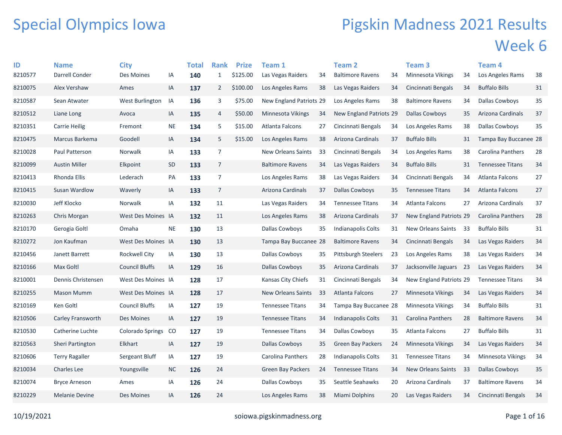## Special Olympics Iowa

## Pigskin Madness 2021 Results Week 6

| ID      | <b>Name</b>           | <b>City</b>           |           | <b>Total</b> | <b>Rank</b>    | <b>Prize</b> | Team 1                    |    | <b>Team 2</b>              |    | Team 3                    |     | Team 4                   |    |
|---------|-----------------------|-----------------------|-----------|--------------|----------------|--------------|---------------------------|----|----------------------------|----|---------------------------|-----|--------------------------|----|
| 8210577 | Darrell Conder        | Des Moines            | IA        | 140          | $\mathbf{1}$   | \$125.00     | Las Vegas Raiders         | 34 | <b>Baltimore Ravens</b>    | 34 | Minnesota Vikings         | 34  | Los Angeles Rams         | 38 |
| 8210075 | Alex Vershaw          | Ames                  | IA        | 137          | $\overline{2}$ | \$100.00     | Los Angeles Rams          | 38 | Las Vegas Raiders          | 34 | Cincinnati Bengals        | 34  | <b>Buffalo Bills</b>     | 31 |
| 8210587 | Sean Atwater          | West Burlington       | IA        | 136          | 3              | \$75.00      | New England Patriots 29   |    | Los Angeles Rams           | 38 | <b>Baltimore Ravens</b>   | 34  | Dallas Cowboys           | 35 |
| 8210512 | Liane Long            | Avoca                 | IA        | 135          | 4              | \$50.00      | Minnesota Vikings         | 34 | New England Patriots 29    |    | <b>Dallas Cowboys</b>     | 35  | Arizona Cardinals        | 37 |
| 8210351 | <b>Carrie Heilig</b>  | Fremont               | $\sf NE$  | 134          | 5              | \$15.00      | Atlanta Falcons           | 27 | Cincinnati Bengals         | 34 | Los Angeles Rams          | 38  | Dallas Cowboys           | 35 |
| 8210475 | Marcus Barkema        | Goodell               | IA        | 134          | 5              | \$15.00      | Los Angeles Rams          | 38 | Arizona Cardinals          | 37 | <b>Buffalo Bills</b>      | 31  | Tampa Bay Buccanee 28    |    |
| 8210028 | Paul Patterson        | Norwalk               | IA        | 133          | $\overline{7}$ |              | <b>New Orleans Saints</b> | 33 | Cincinnati Bengals         | 34 | Los Angeles Rams          | 38  | Carolina Panthers        | 28 |
| 8210099 | <b>Austin Miller</b>  | Elkpoint              | <b>SD</b> | 133          | 7              |              | <b>Baltimore Ravens</b>   | 34 | Las Vegas Raiders          | 34 | <b>Buffalo Bills</b>      | 31  | <b>Tennessee Titans</b>  | 34 |
| 8210413 | Rhonda Ellis          | Lederach              | PA        | 133          | 7              |              | Los Angeles Rams          | 38 | Las Vegas Raiders          | 34 | Cincinnati Bengals        | 34  | <b>Atlanta Falcons</b>   | 27 |
| 8210415 | Susan Wardlow         | Waverly               | IA        | 133          | $\overline{7}$ |              | Arizona Cardinals         | 37 | Dallas Cowboys             | 35 | <b>Tennessee Titans</b>   | 34  | <b>Atlanta Falcons</b>   | 27 |
| 8210030 | Jeff Klocko           | Norwalk               | IA        | 132          | 11             |              | Las Vegas Raiders         | 34 | <b>Tennessee Titans</b>    | 34 | Atlanta Falcons           | 27  | Arizona Cardinals        | 37 |
| 8210263 | Chris Morgan          | West Des Moines IA    |           | 132          | 11             |              | Los Angeles Rams          | 38 | Arizona Cardinals          | 37 | New England Patriots 29   |     | <b>Carolina Panthers</b> | 28 |
| 8210170 | Gerogia Goltl         | Omaha                 | <b>NE</b> | 130          | 13             |              | Dallas Cowboys            | 35 | Indianapolis Colts         | 31 | New Orleans Saints        | 33  | <b>Buffalo Bills</b>     | 31 |
| 8210272 | Jon Kaufman           | West Des Moines IA    |           | 130          | 13             |              | Tampa Bay Buccanee 28     |    | <b>Baltimore Ravens</b>    | 34 | Cincinnati Bengals        | 34  | Las Vegas Raiders        | 34 |
| 8210456 | Janett Barrett        | Rockwell City         | IA        | 130          | 13             |              | Dallas Cowboys            | 35 | <b>Pittsburgh Steelers</b> | 23 | Los Angeles Rams          | 38  | Las Vegas Raiders        | 34 |
| 8210166 | Max Goltl             | <b>Council Bluffs</b> | IA        | 129          | 16             |              | <b>Dallas Cowboys</b>     | 35 | Arizona Cardinals          | 37 | Jacksonville Jaguars 23   |     | Las Vegas Raiders        | 34 |
| 8210001 | Dennis Christensen    | West Des Moines IA    |           | 128          | 17             |              | Kansas City Chiefs        | 31 | Cincinnati Bengals         | 34 | New England Patriots 29   |     | <b>Tennessee Titans</b>  | 34 |
| 8210255 | <b>Mason Mumm</b>     | West Des Moines IA    |           | 128          | 17             |              | <b>New Orleans Saints</b> | 33 | Atlanta Falcons            | 27 | <b>Minnesota Vikings</b>  | 34  | Las Vegas Raiders        | 34 |
| 8210169 | Ken Goltl             | <b>Council Bluffs</b> | IA        | 127          | 19             |              | <b>Tennessee Titans</b>   | 34 | Tampa Bay Buccanee 28      |    | Minnesota Vikings         | 34  | <b>Buffalo Bills</b>     | 31 |
| 8210506 | Carley Fransworth     | Des Moines            | IA        | 127          | 19             |              | <b>Tennessee Titans</b>   | 34 | <b>Indianapolis Colts</b>  | 31 | <b>Carolina Panthers</b>  | -28 | <b>Baltimore Ravens</b>  | 34 |
| 8210530 | Catherine Luchte      | Colorado Springs      | CO        | 127          | 19             |              | <b>Tennessee Titans</b>   | 34 | Dallas Cowboys             | 35 | Atlanta Falcons           | 27  | <b>Buffalo Bills</b>     | 31 |
| 8210563 | Sheri Partington      | Elkhart               | IA        | 127          | 19             |              | Dallas Cowboys            | 35 | Green Bay Packers          | 24 | Minnesota Vikings         | 34  | Las Vegas Raiders        | 34 |
| 8210606 | <b>Terry Ragaller</b> | Sergeant Bluff        | IA        | 127          | 19             |              | Carolina Panthers         | 28 | Indianapolis Colts         | 31 | <b>Tennessee Titans</b>   | 34  | Minnesota Vikings        | 34 |
| 8210034 | <b>Charles Lee</b>    | Youngsville           | <b>NC</b> | 126          | 24             |              | <b>Green Bay Packers</b>  | 24 | <b>Tennessee Titans</b>    | 34 | <b>New Orleans Saints</b> | 33  | Dallas Cowboys           | 35 |
| 8210074 | <b>Bryce Arneson</b>  | Ames                  | IA        | 126          | 24             |              | Dallas Cowboys            | 35 | Seattle Seahawks           | 20 | Arizona Cardinals         | 37  | <b>Baltimore Ravens</b>  | 34 |
| 8210229 | <b>Melanie Devine</b> | Des Moines            | ΙA        | 126          | 24             |              | Los Angeles Rams          | 38 | Miami Dolphins             | 20 | Las Vegas Raiders         | 34  | Cincinnati Bengals       | 34 |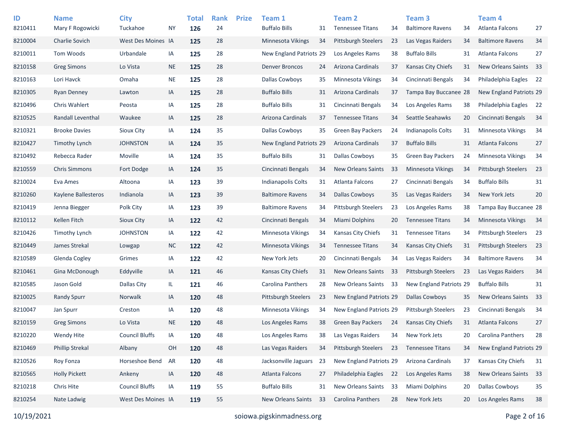| ID<br>8210411 | <b>Name</b><br>Mary F Rogowicki | <b>City</b><br>Tuckahoe | ΝY        | <b>Total</b><br>126 | <b>Rank</b><br>24 | <b>Prize</b> | Team 1<br><b>Buffalo Bills</b> | 31 | <b>Team 2</b><br><b>Tennessee Titans</b> | 34 | Team <sub>3</sub><br><b>Baltimore Ravens</b> | 34 | Team <sub>4</sub><br><b>Atlanta Falcons</b> | 27   |
|---------------|---------------------------------|-------------------------|-----------|---------------------|-------------------|--------------|--------------------------------|----|------------------------------------------|----|----------------------------------------------|----|---------------------------------------------|------|
| 8210004       | <b>Charlie Sovich</b>           | West Des Moines IA      |           | 125                 | 28                |              | Minnesota Vikings              | 34 | <b>Pittsburgh Steelers</b>               | 23 | Las Vegas Raiders                            | 34 | <b>Baltimore Ravens</b>                     | 34   |
| 8210011       | Tom Woods                       | Urbandale               | IA        | 125                 | 28                |              | <b>New England Patriots 29</b> |    | Los Angeles Rams                         | 38 | <b>Buffalo Bills</b>                         | 31 | Atlanta Falcons                             | 27   |
| 8210158       | <b>Greg Simons</b>              | Lo Vista                | <b>NE</b> | 125                 | 28                |              | <b>Denver Broncos</b>          | 24 | Arizona Cardinals                        | 37 | Kansas City Chiefs                           | 31 | <b>New Orleans Saints</b>                   | - 33 |
| 8210163       | Lori Havck                      | Omaha                   | <b>NE</b> | 125                 | 28                |              | Dallas Cowboys                 | 35 | Minnesota Vikings                        | 34 | Cincinnati Bengals                           | 34 | Philadelphia Eagles 22                      |      |
| 8210305       | <b>Ryan Denney</b>              | Lawton                  | IA        | 125                 | 28                |              | <b>Buffalo Bills</b>           | 31 | Arizona Cardinals                        | 37 | Tampa Bay Buccanee 28                        |    | New England Patriots 29                     |      |
| 8210496       | Chris Wahlert                   | Peosta                  | IA        | 125                 | 28                |              | <b>Buffalo Bills</b>           | 31 | Cincinnati Bengals                       | 34 | Los Angeles Rams                             | 38 | Philadelphia Eagles                         | 22   |
| 8210525       | Randall Leventhal               | Waukee                  | IA        | 125                 | 28                |              | Arizona Cardinals              | 37 | <b>Tennessee Titans</b>                  | 34 | Seattle Seahawks                             | 20 | Cincinnati Bengals                          | 34   |
| 8210321       | <b>Brooke Davies</b>            | Sioux City              | IA        | 124                 | 35                |              | Dallas Cowboys                 | 35 | <b>Green Bay Packers</b>                 | 24 | <b>Indianapolis Colts</b>                    | 31 | <b>Minnesota Vikings</b>                    | 34   |
| 8210427       | Timothy Lynch                   | <b>JOHNSTON</b>         | IA        | 124                 | 35                |              | New England Patriots 29        |    | Arizona Cardinals                        | 37 | <b>Buffalo Bills</b>                         | 31 | Atlanta Falcons                             | 27   |
| 8210492       | Rebecca Rader                   | Moville                 | IA        | 124                 | 35                |              | <b>Buffalo Bills</b>           | 31 | <b>Dallas Cowboys</b>                    | 35 | <b>Green Bay Packers</b>                     | 24 | <b>Minnesota Vikings</b>                    | 34   |
| 8210559       | <b>Chris Simmons</b>            | Fort Dodge              | IA        | 124                 | 35                |              | Cincinnati Bengals             | 34 | <b>New Orleans Saints</b>                | 33 | <b>Minnesota Vikings</b>                     | 34 | <b>Pittsburgh Steelers</b>                  | 23   |
| 8210024       | Eva Ames                        | Altoona                 | IA        | 123                 | 39                |              | <b>Indianapolis Colts</b>      | 31 | Atlanta Falcons                          | 27 | Cincinnati Bengals                           | 34 | <b>Buffalo Bills</b>                        | 31   |
| 8210260       | Kaylene Ballesteros             | Indianola               | IA        | 123                 | 39                |              | <b>Baltimore Ravens</b>        | 34 | <b>Dallas Cowboys</b>                    | 35 | Las Vegas Raiders                            | 34 | New York Jets                               | 20   |
| 8210419       | Jenna Biegger                   | Polk City               | IA        | 123                 | 39                |              | <b>Baltimore Ravens</b>        | 34 | <b>Pittsburgh Steelers</b>               | 23 | Los Angeles Rams                             | 38 | Tampa Bay Buccanee 28                       |      |
| 8210112       | Kellen Fitch                    | Sioux City              | IA        | 122                 | 42                |              | Cincinnati Bengals             | 34 | <b>Miami Dolphins</b>                    | 20 | <b>Tennessee Titans</b>                      | 34 | Minnesota Vikings                           | 34   |
| 8210426       | <b>Timothy Lynch</b>            | <b>JOHNSTON</b>         | IA        | 122                 | 42                |              | Minnesota Vikings              | 34 | Kansas City Chiefs                       | 31 | <b>Tennessee Titans</b>                      | 34 | <b>Pittsburgh Steelers</b>                  | 23   |
| 8210449       | James Strekal                   | Lowgap                  | <b>NC</b> | 122                 | 42                |              | Minnesota Vikings              | 34 | <b>Tennessee Titans</b>                  | 34 | Kansas City Chiefs                           | 31 | <b>Pittsburgh Steelers</b>                  | 23   |
| 8210589       | Glenda Cogley                   | Grimes                  | IA        | 122                 | 42                |              | New York Jets                  | 20 | Cincinnati Bengals                       | 34 | Las Vegas Raiders                            | 34 | <b>Baltimore Ravens</b>                     | 34   |
| 8210461       | Gina McDonough                  | Eddyville               | IA        | 121                 | 46                |              | Kansas City Chiefs             | 31 | <b>New Orleans Saints</b>                | 33 | <b>Pittsburgh Steelers</b>                   | 23 | Las Vegas Raiders                           | 34   |
| 8210585       | Jason Gold                      | Dallas City             | IL.       | 121                 | 46                |              | Carolina Panthers              | 28 | New Orleans Saints                       | 33 | New England Patriots 29                      |    | <b>Buffalo Bills</b>                        | 31   |
| 8210025       | <b>Randy Spurr</b>              | Norwalk                 | IA        | 120                 | 48                |              | <b>Pittsburgh Steelers</b>     | 23 | New England Patriots 29                  |    | <b>Dallas Cowboys</b>                        | 35 | <b>New Orleans Saints</b>                   | 33   |
| 8210047       | Jan Spurr                       | Creston                 | IA        | 120                 | 48                |              | Minnesota Vikings              | 34 | New England Patriots 29                  |    | <b>Pittsburgh Steelers</b>                   | 23 | Cincinnati Bengals                          | 34   |
| 8210159       | <b>Greg Simons</b>              | Lo Vista                | <b>NE</b> | 120                 | 48                |              | Los Angeles Rams               | 38 | <b>Green Bay Packers</b>                 | 24 | Kansas City Chiefs                           | 31 | Atlanta Falcons                             | 27   |
| 8210220       | Wendy Hite                      | <b>Council Bluffs</b>   | IA        | 120                 | 48                |              | Los Angeles Rams               | 38 | Las Vegas Raiders                        | 34 | New York Jets                                | 20 | Carolina Panthers                           | 28   |
| 8210469       | <b>Phillip Strekal</b>          | Albany                  | OH        | 120                 | 48                |              | Las Vegas Raiders              | 34 | Pittsburgh Steelers                      | 23 | <b>Tennessee Titans</b>                      | 34 | New England Patriots 29                     |      |
| 8210526       | Roy Fonza                       | Horseshoe Bend          | AR        | 120                 | 48                |              | Jacksonville Jaguars           | 23 | New England Patriots 29                  |    | Arizona Cardinals                            | 37 | Kansas City Chiefs                          | 31   |
| 8210565       | <b>Holly Pickett</b>            | Ankeny                  | IA        | 120                 | 48                |              | Atlanta Falcons                | 27 | Philadelphia Eagles                      | 22 | Los Angeles Rams                             | 38 | New Orleans Saints                          | 33   |
| 8210218       | Chris Hite                      | <b>Council Bluffs</b>   | IA        | 119                 | 55                |              | <b>Buffalo Bills</b>           | 31 | New Orleans Saints                       | 33 | Miami Dolphins                               | 20 | <b>Dallas Cowboys</b>                       | 35   |
| 8210254       | Nate Ladwig                     | West Des Moines IA      |           | 119                 | 55                |              | New Orleans Saints             | 33 | Carolina Panthers                        | 28 | New York Jets                                | 20 | Los Angeles Rams                            | 38   |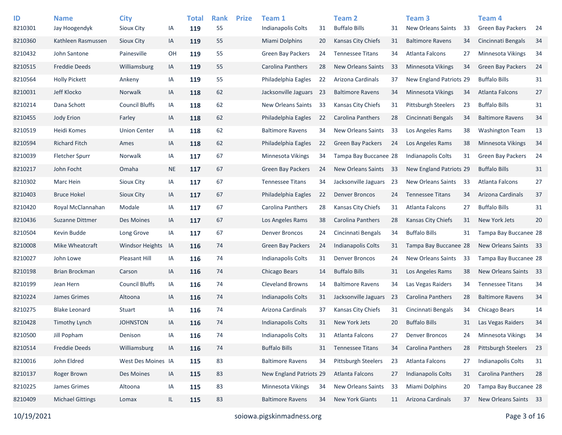| ID<br>8210301 | <b>Name</b><br>Jay Hoogendyk | <b>City</b><br>Sioux City | IA        | <b>Total</b><br>119 | <b>Rank</b><br>55 | <b>Prize</b> | Team 1<br>Indianapolis Colts | 31  | <b>Team 2</b><br><b>Buffalo Bills</b> | 31 | Team <sub>3</sub><br><b>New Orleans Saints</b> | 33 | <b>Team 4</b><br><b>Green Bay Packers</b> | -24 |
|---------------|------------------------------|---------------------------|-----------|---------------------|-------------------|--------------|------------------------------|-----|---------------------------------------|----|------------------------------------------------|----|-------------------------------------------|-----|
| 8210360       | Kathleen Rasmussen           | Sioux City                | IA        | 119                 | 55                |              | <b>Miami Dolphins</b>        | 20  | <b>Kansas City Chiefs</b>             | 31 | <b>Baltimore Ravens</b>                        | 34 | Cincinnati Bengals                        | 34  |
| 8210432       | John Santone                 | Painesville               | OH        | 119                 | 55                |              | <b>Green Bay Packers</b>     | 24  | <b>Tennessee Titans</b>               | 34 | Atlanta Falcons                                | 27 | <b>Minnesota Vikings</b>                  | 34  |
|               |                              |                           |           |                     |                   |              |                              |     |                                       |    |                                                |    |                                           |     |
| 8210515       | <b>Freddie Deeds</b>         | Williamsburg              | IA        | 119                 | 55                |              | Carolina Panthers            | 28  | <b>New Orleans Saints</b>             | 33 | Minnesota Vikings                              | 34 | <b>Green Bay Packers</b>                  | 24  |
| 8210564       | <b>Holly Pickett</b>         | Ankeny                    | IA        | 119                 | 55                |              | Philadelphia Eagles          | 22  | Arizona Cardinals                     | 37 | New England Patriots 29                        |    | <b>Buffalo Bills</b>                      | 31  |
| 8210031       | Jeff Klocko                  | <b>Norwalk</b>            | IA        | 118                 | 62                |              | Jacksonville Jaguars         | -23 | <b>Baltimore Ravens</b>               | 34 | <b>Minnesota Vikings</b>                       | 34 | Atlanta Falcons                           | 27  |
| 8210214       | Dana Schott                  | <b>Council Bluffs</b>     | IA        | 118                 | 62                |              | New Orleans Saints           | 33  | Kansas City Chiefs                    | 31 | <b>Pittsburgh Steelers</b>                     | 23 | <b>Buffalo Bills</b>                      | 31  |
| 8210455       | Jody Erion                   | Farley                    | IA        | 118                 | 62                |              | Philadelphia Eagles          | 22  | <b>Carolina Panthers</b>              | 28 | Cincinnati Bengals                             | 34 | <b>Baltimore Ravens</b>                   | 34  |
| 8210519       | Heidi Komes                  | <b>Union Center</b>       | IA        | 118                 | 62                |              | <b>Baltimore Ravens</b>      | 34  | <b>New Orleans Saints</b>             | 33 | Los Angeles Rams                               | 38 | <b>Washington Team</b>                    | 13  |
| 8210594       | <b>Richard Fitch</b>         | Ames                      | IA        | 118                 | 62                |              | Philadelphia Eagles          | 22  | <b>Green Bay Packers</b>              | 24 | Los Angeles Rams                               | 38 | <b>Minnesota Vikings</b>                  | 34  |
| 8210039       | <b>Fletcher Spurr</b>        | <b>Norwalk</b>            | IA        | 117                 | 67                |              | Minnesota Vikings            | 34  | Tampa Bay Buccanee 28                 |    | Indianapolis Colts                             | 31 | <b>Green Bay Packers</b>                  | 24  |
| 8210217       | John Focht                   | Omaha                     | <b>NE</b> | 117                 | 67                |              | <b>Green Bay Packers</b>     | 24  | New Orleans Saints                    | 33 | New England Patriots 29                        |    | <b>Buffalo Bills</b>                      | 31  |
| 8210302       | Marc Hein                    | <b>Sioux City</b>         | IA        | 117                 | 67                |              | <b>Tennessee Titans</b>      | 34  | Jacksonville Jaguars                  | 23 | New Orleans Saints                             | 33 | <b>Atlanta Falcons</b>                    | 27  |
| 8210403       | <b>Bruce Hokel</b>           | Sioux City                | IA        | 117                 | 67                |              | Philadelphia Eagles          | 22  | <b>Denver Broncos</b>                 | 24 | <b>Tennessee Titans</b>                        | 34 | Arizona Cardinals                         | 37  |
| 8210420       | Royal McClannahan            | Modale                    | IA        | 117                 | 67                |              | Carolina Panthers            | 28  | Kansas City Chiefs                    | 31 | Atlanta Falcons                                | 27 | <b>Buffalo Bills</b>                      | 31  |
| 8210436       | Suzanne Dittmer              | Des Moines                | IA        | 117                 | 67                |              | Los Angeles Rams             | 38  | Carolina Panthers                     | 28 | Kansas City Chiefs                             | 31 | New York Jets                             | 20  |
| 8210504       | Kevin Budde                  | Long Grove                | IA        | 117                 | 67                |              | <b>Denver Broncos</b>        | 24  | Cincinnati Bengals                    | 34 | <b>Buffalo Bills</b>                           | 31 | Tampa Bay Buccanee 28                     |     |
| 8210008       | Mike Wheatcraft              | <b>Windsor Heights</b>    | IA        | 116                 | 74                |              | Green Bay Packers            | 24  | <b>Indianapolis Colts</b>             | 31 | Tampa Bay Buccanee 28                          |    | New Orleans Saints 33                     |     |
| 8210027       | John Lowe                    | Pleasant Hill             | IA        | 116                 | 74                |              | Indianapolis Colts           | 31  | <b>Denver Broncos</b>                 | 24 | New Orleans Saints                             | 33 | Tampa Bay Buccanee 28                     |     |
| 8210198       | Brian Brockman               | Carson                    | IA        | 116                 | 74                |              | Chicago Bears                | 14  | <b>Buffalo Bills</b>                  | 31 | Los Angeles Rams                               | 38 | New Orleans Saints                        | 33  |
| 8210199       | Jean Hern                    | <b>Council Bluffs</b>     | IA        | 116                 | 74                |              | <b>Cleveland Browns</b>      | 14  | <b>Baltimore Ravens</b>               | 34 | Las Vegas Raiders                              | 34 | <b>Tennessee Titans</b>                   | 34  |
| 8210224       | James Grimes                 | Altoona                   | IA        | 116                 | 74                |              | <b>Indianapolis Colts</b>    | 31  | Jacksonville Jaguars                  | 23 | <b>Carolina Panthers</b>                       | 28 | <b>Baltimore Ravens</b>                   | 34  |
| 8210275       | <b>Blake Leonard</b>         | Stuart                    | IA        | 116                 | 74                |              | Arizona Cardinals            | 37  | Kansas City Chiefs                    | 31 | Cincinnati Bengals                             | 34 | Chicago Bears                             | 14  |
| 8210428       | <b>Timothy Lynch</b>         | <b>JOHNSTON</b>           | IA        | 116                 | 74                |              | Indianapolis Colts           | 31  | New York Jets                         | 20 | <b>Buffalo Bills</b>                           | 31 | Las Vegas Raiders                         | 34  |
| 8210500       | Jill Popham                  | Denison                   | IA        | 116                 | 74                |              | Indianapolis Colts           | 31  | Atlanta Falcons                       | 27 | <b>Denver Broncos</b>                          | 24 | Minnesota Vikings                         | 34  |
| 8210514       | <b>Freddie Deeds</b>         | Williamsburg              | IA        | 116                 | $74$              |              | <b>Buffalo Bills</b>         | 31  | <b>Tennessee Titans</b>               | 34 | Carolina Panthers                              | 28 | Pittsburgh Steelers                       | 23  |
| 8210016       | John Eldred                  | West Des Moines IA        |           | 115                 | 83                |              | <b>Baltimore Ravens</b>      | 34  | <b>Pittsburgh Steelers</b>            | 23 | Atlanta Falcons                                | 27 | <b>Indianapolis Colts</b>                 | 31  |
| 8210137       | Roger Brown                  | Des Moines                | IA        | 115                 | 83                |              | New England Patriots 29      |     | Atlanta Falcons                       | 27 | Indianapolis Colts                             | 31 | Carolina Panthers                         | 28  |
| 8210225       | James Grimes                 | Altoona                   | IA        | 115                 | 83                |              | Minnesota Vikings            | 34  | New Orleans Saints                    | 33 | Miami Dolphins                                 | 20 | Tampa Bay Buccanee 28                     |     |
| 8210409       | <b>Michael Gittings</b>      | Lomax                     | IL.       | 115                 | 83                |              | <b>Baltimore Ravens</b>      | 34  | New York Giants                       | 11 | Arizona Cardinals                              | 37 | New Orleans Saints 33                     |     |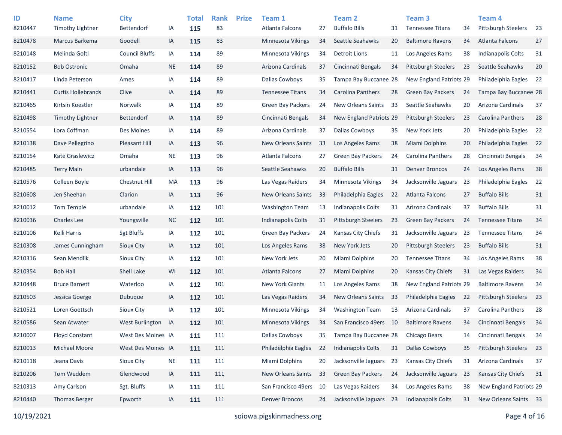| ID      | <b>Name</b>               | <b>City</b>           |           | <b>Total</b> | <b>Rank</b> | <b>Prize</b> | Team 1                   |    | <b>Team 2</b>              |      | Team <sub>3</sub>          |    | <b>Team 4</b>              |    |
|---------|---------------------------|-----------------------|-----------|--------------|-------------|--------------|--------------------------|----|----------------------------|------|----------------------------|----|----------------------------|----|
| 8210447 | <b>Timothy Lightner</b>   | <b>Bettendorf</b>     | IA        | 115          | 83          |              | Atlanta Falcons          | 27 | <b>Buffalo Bills</b>       | 31   | <b>Tennessee Titans</b>    | 34 | Pittsburgh Steelers        | 23 |
| 8210478 | Marcus Barkema            | Goodell               | IA        | 115          | 83          |              | Minnesota Vikings        | 34 | Seattle Seahawks           | 20   | <b>Baltimore Ravens</b>    | 34 | <b>Atlanta Falcons</b>     | 27 |
| 8210148 | Melinda Goltl             | <b>Council Bluffs</b> | IA        | 114          | 89          |              | Minnesota Vikings        | 34 | Detroit Lions              | 11   | Los Angeles Rams           | 38 | <b>Indianapolis Colts</b>  | 31 |
| 8210152 | <b>Bob Ostronic</b>       | Omaha                 | <b>NE</b> | 114          | 89          |              | Arizona Cardinals        | 37 | Cincinnati Bengals         | 34   | <b>Pittsburgh Steelers</b> | 23 | Seattle Seahawks           | 20 |
| 8210417 | Linda Peterson            | Ames                  | IA        | 114          | 89          |              | Dallas Cowboys           | 35 | Tampa Bay Buccanee 28      |      | New England Patriots 29    |    | Philadelphia Eagles        | 22 |
| 8210441 | <b>Curtis Hollebrands</b> | Clive                 | IA        | 114          | 89          |              | <b>Tennessee Titans</b>  | 34 | <b>Carolina Panthers</b>   | 28   | <b>Green Bay Packers</b>   | 24 | Tampa Bay Buccanee 28      |    |
| 8210465 | Kirtsin Koestler          | Norwalk               | IA        | 114          | 89          |              | <b>Green Bay Packers</b> | 24 | <b>New Orleans Saints</b>  | 33   | Seattle Seahawks           | 20 | Arizona Cardinals          | 37 |
| 8210498 | Timothy Lightner          | <b>Bettendorf</b>     | IA        | 114          | 89          |              | Cincinnati Bengals       | 34 | New England Patriots 29    |      | <b>Pittsburgh Steelers</b> | 23 | Carolina Panthers          | 28 |
| 8210554 | Lora Coffman              | Des Moines            | IA        | 114          | 89          |              | Arizona Cardinals        | 37 | <b>Dallas Cowboys</b>      | 35   | New York Jets              | 20 | Philadelphia Eagles        | 22 |
| 8210138 | Dave Pellegrino           | Pleasant Hill         | IA        | 113          | 96          |              | New Orleans Saints       | 33 | Los Angeles Rams           | 38   | <b>Miami Dolphins</b>      | 20 | Philadelphia Eagles        | 22 |
| 8210154 | Kate Graslewicz           | Omaha                 | <b>NE</b> | 113          | 96          |              | Atlanta Falcons          | 27 | Green Bay Packers          | 24   | Carolina Panthers          | 28 | Cincinnati Bengals         | 34 |
| 8210485 | <b>Terry Main</b>         | urbandale             | IA        | 113          | 96          |              | Seattle Seahawks         | 20 | <b>Buffalo Bills</b>       | 31   | <b>Denver Broncos</b>      | 24 | Los Angeles Rams           | 38 |
| 8210576 | Colleen Boyle             | Chestnut Hill         | MA        | 113          | 96          |              | Las Vegas Raiders        | 34 | <b>Minnesota Vikings</b>   | 34   | Jacksonville Jaguars       | 23 | Philadelphia Eagles        | 22 |
| 8210608 | Jen Sheehan               | Clarion               | IA        | 113          | 96          |              | New Orleans Saints       | 33 | Philadelphia Eagles        | 22   | Atlanta Falcons            | 27 | <b>Buffalo Bills</b>       | 31 |
| 8210012 | Tom Temple                | urbandale             | IA        | 112          | 101         |              | <b>Washington Team</b>   | 13 | Indianapolis Colts         | 31   | Arizona Cardinals          | 37 | <b>Buffalo Bills</b>       | 31 |
| 8210036 | <b>Charles Lee</b>        | Youngsville           | <b>NC</b> | 112          | 101         |              | Indianapolis Colts       | 31 | <b>Pittsburgh Steelers</b> | 23   | <b>Green Bay Packers</b>   | 24 | <b>Tennessee Titans</b>    | 34 |
| 8210106 | Kelli Harris              | <b>Sgt Bluffs</b>     | IA        | 112          | 101         |              | <b>Green Bay Packers</b> | 24 | Kansas City Chiefs         | 31   | Jacksonville Jaguars       | 23 | <b>Tennessee Titans</b>    | 34 |
| 8210308 | James Cunningham          | Sioux City            | IA        | 112          | 101         |              | Los Angeles Rams         | 38 | New York Jets              | 20   | <b>Pittsburgh Steelers</b> | 23 | <b>Buffalo Bills</b>       | 31 |
| 8210316 | Sean Mendlik              | Sioux City            | IA        | 112          | 101         |              | New York Jets            | 20 | <b>Miami Dolphins</b>      | 20   | <b>Tennessee Titans</b>    | 34 | Los Angeles Rams           | 38 |
| 8210354 | <b>Bob Hall</b>           | Shell Lake            | WI        | 112          | 101         |              | Atlanta Falcons          | 27 | Miami Dolphins             | 20   | Kansas City Chiefs         | 31 | Las Vegas Raiders          | 34 |
| 8210448 | <b>Bruce Barnett</b>      | Waterloo              | IA        | 112          | 101         |              | <b>New York Giants</b>   | 11 | Los Angeles Rams           | 38   | New England Patriots 29    |    | <b>Baltimore Ravens</b>    | 34 |
| 8210503 | Jessica Goerge            | Dubuque               | IA        | 112          | 101         |              | Las Vegas Raiders        | 34 | <b>New Orleans Saints</b>  | 33   | Philadelphia Eagles        | 22 | <b>Pittsburgh Steelers</b> | 23 |
| 8210521 | Loren Goettsch            | Sioux City            | IA        | 112          | 101         |              | Minnesota Vikings        | 34 | <b>Washington Team</b>     | 13   | Arizona Cardinals          | 37 | Carolina Panthers          | 28 |
| 8210586 | Sean Atwater              | West Burlington       | IA        | 112          | 101         |              | <b>Minnesota Vikings</b> | 34 | San Francisco 49ers        | - 10 | <b>Baltimore Ravens</b>    | 34 | Cincinnati Bengals         | 34 |
| 8210007 | <b>Floyd Constant</b>     | West Des Moines IA    |           | 111          | 111         |              | <b>Dallas Cowboys</b>    | 35 | Tampa Bay Buccanee 28      |      | Chicago Bears              | 14 | Cincinnati Bengals         | 34 |
| 8210013 | Michael Moore             | West Des Moines IA    |           | 111          | 111         |              | Philadelphia Eagles      | 22 | <b>Indianapolis Colts</b>  | 31   | <b>Dallas Cowboys</b>      | 35 | Pittsburgh Steelers        | 23 |
| 8210118 | Jeana Davis               | Sioux City            | $\sf NE$  | 111          | 111         |              | Miami Dolphins           | 20 | Jacksonville Jaguars 23    |      | Kansas City Chiefs         | 31 | Arizona Cardinals          | 37 |
| 8210206 | Tom Weddem                | Glendwood             | IA        | 111          | 111         |              | New Orleans Saints       | 33 | Green Bay Packers          | 24   | Jacksonville Jaguars       | 23 | Kansas City Chiefs         | 31 |
| 8210313 | Amy Carlson               | Sgt. Bluffs           | IA        | 111          | 111         |              | San Francisco 49ers      | 10 | Las Vegas Raiders          | 34   | Los Angeles Rams           | 38 | New England Patriots 29    |    |
| 8210440 | <b>Thomas Berger</b>      | Epworth               | IA        | 111          | 111         |              | Denver Broncos           | 24 | Jacksonville Jaguars 23    |      | Indianapolis Colts         | 31 | New Orleans Saints 33      |    |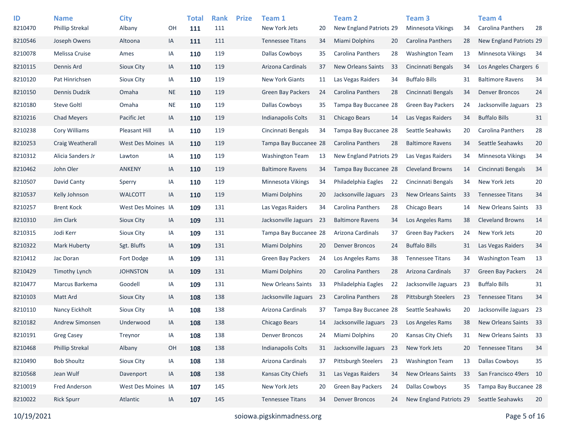| ID      | <b>Name</b>            | City               |           | <b>Total</b> | <b>Rank</b> | <b>Prize</b> | Team 1                    |     | <b>Team 2</b>             |    | Team <sub>3</sub>          |    | <b>Team 4</b>            |     |
|---------|------------------------|--------------------|-----------|--------------|-------------|--------------|---------------------------|-----|---------------------------|----|----------------------------|----|--------------------------|-----|
| 8210470 | <b>Phillip Strekal</b> | Albany             | OН        | 111          | 111         |              | New York Jets             | 20  | New England Patriots 29   |    | Minnesota Vikings          | 34 | <b>Carolina Panthers</b> | 28  |
| 8210546 | Joseph Owens           | Altoona            | IA        | 111          | 111         |              | <b>Tennessee Titans</b>   | 34  | Miami Dolphins            | 20 | <b>Carolina Panthers</b>   | 28 | New England Patriots 29  |     |
| 8210078 | Melissa Cruise         | Ames               | IA        | 110          | 119         |              | Dallas Cowboys            | 35  | <b>Carolina Panthers</b>  | 28 | <b>Washington Team</b>     | 13 | <b>Minnesota Vikings</b> | -34 |
| 8210115 | Dennis Ard             | Sioux City         | IA        | 110          | 119         |              | Arizona Cardinals         | 37  | <b>New Orleans Saints</b> | 33 | Cincinnati Bengals         | 34 | Los Angeles Chargers 6   |     |
| 8210120 | Pat Hinrichsen         | <b>Sioux City</b>  | IA        | 110          | 119         |              | New York Giants           | 11  | Las Vegas Raiders         | 34 | <b>Buffalo Bills</b>       | 31 | <b>Baltimore Ravens</b>  | 34  |
| 8210150 | Dennis Dudzik          | Omaha              | <b>NE</b> | 110          | 119         |              | <b>Green Bay Packers</b>  | 24  | <b>Carolina Panthers</b>  | 28 | Cincinnati Bengals         | 34 | <b>Denver Broncos</b>    | 24  |
| 8210180 | <b>Steve Goltl</b>     | Omaha              | <b>NE</b> | 110          | 119         |              | Dallas Cowboys            | 35  | Tampa Bay Buccanee 28     |    | <b>Green Bay Packers</b>   | 24 | Jacksonville Jaguars 23  |     |
| 8210216 | <b>Chad Meyers</b>     | Pacific Jet        | IA        | 110          | 119         |              | Indianapolis Colts        | 31  | Chicago Bears             | 14 | Las Vegas Raiders          | 34 | <b>Buffalo Bills</b>     | 31  |
| 8210238 | <b>Cory Williams</b>   | Pleasant Hill      | IA        | 110          | 119         |              | Cincinnati Bengals        | 34  | Tampa Bay Buccanee 28     |    | Seattle Seahawks           | 20 | Carolina Panthers        | 28  |
| 8210253 | Craig Weatherall       | West Des Moines IA |           | 110          | 119         |              | Tampa Bay Buccanee 28     |     | Carolina Panthers         | 28 | <b>Baltimore Ravens</b>    | 34 | Seattle Seahawks         | 20  |
| 8210312 | Alicia Sanders Jr      | Lawton             | IA        | 110          | 119         |              | Washington Team           | 13  | New England Patriots 29   |    | Las Vegas Raiders          | 34 | <b>Minnesota Vikings</b> | 34  |
| 8210462 | John Oler              | <b>ANKENY</b>      | IA        | 110          | 119         |              | <b>Baltimore Ravens</b>   | 34  | Tampa Bay Buccanee 28     |    | <b>Cleveland Browns</b>    | 14 | Cincinnati Bengals       | 34  |
| 8210507 | David Canty            | Sperry             | IA        | 110          | 119         |              | <b>Minnesota Vikings</b>  | 34  | Philadelphia Eagles       | 22 | Cincinnati Bengals         | 34 | New York Jets            | 20  |
| 8210537 | Kelly Johnson          | <b>WALCOTT</b>     | IA        | 110          | 119         |              | <b>Miami Dolphins</b>     | 20  | Jacksonville Jaguars 23   |    | <b>New Orleans Saints</b>  | 33 | <b>Tennessee Titans</b>  | 34  |
| 8210257 | <b>Brent Kock</b>      | West Des Moines IA |           | 109          | 131         |              | Las Vegas Raiders         | 34  | <b>Carolina Panthers</b>  | 28 | Chicago Bears              | 14 | New Orleans Saints       | -33 |
| 8210310 | Jim Clark              | Sioux City         | IA        | 109          | 131         |              | Jacksonville Jaguars      | -23 | <b>Baltimore Ravens</b>   | 34 | Los Angeles Rams           | 38 | <b>Cleveland Browns</b>  | 14  |
| 8210315 | Jodi Kerr              | <b>Sioux City</b>  | IA        | 109          | 131         |              | Tampa Bay Buccanee 28     |     | Arizona Cardinals         | 37 | <b>Green Bay Packers</b>   | 24 | New York Jets            | 20  |
| 8210322 | Mark Huberty           | Sgt. Bluffs        | IA        | 109          | 131         |              | <b>Miami Dolphins</b>     | 20  | <b>Denver Broncos</b>     | 24 | <b>Buffalo Bills</b>       | 31 | Las Vegas Raiders        | 34  |
| 8210412 | Jac Doran              | Fort Dodge         | IA        | 109          | 131         |              | <b>Green Bay Packers</b>  | 24  | Los Angeles Rams          | 38 | <b>Tennessee Titans</b>    | 34 | <b>Washington Team</b>   | 13  |
| 8210429 | Timothy Lynch          | <b>JOHNSTON</b>    | IA        | 109          | 131         |              | <b>Miami Dolphins</b>     | 20  | Carolina Panthers         | 28 | Arizona Cardinals          | 37 | <b>Green Bay Packers</b> | 24  |
| 8210477 | Marcus Barkema         | Goodell            | IA        | 109          | 131         |              | <b>New Orleans Saints</b> | 33  | Philadelphia Eagles       | 22 | Jacksonville Jaguars       | 23 | <b>Buffalo Bills</b>     | 31  |
| 8210103 | <b>Matt Ard</b>        | Sioux City         | IA        | 108          | 138         |              | Jacksonville Jaguars      | 23  | Carolina Panthers         | 28 | <b>Pittsburgh Steelers</b> | 23 | <b>Tennessee Titans</b>  | 34  |
| 8210110 | Nancy Eickholt         | Sioux City         | IA        | 108          | 138         |              | Arizona Cardinals         | 37  | Tampa Bay Buccanee 28     |    | Seattle Seahawks           | 20 | Jacksonville Jaguars 23  |     |
| 8210182 | Andrew Simonsen        | Underwood          | IA        | 108          | 138         |              | Chicago Bears             | 14  | Jacksonville Jaguars 23   |    | Los Angeles Rams           | 38 | New Orleans Saints       | 33  |
| 8210191 | <b>Greg Casey</b>      | Treynor            | IA        | 108          | 138         |              | <b>Denver Broncos</b>     | 24  | <b>Miami Dolphins</b>     | 20 | Kansas City Chiefs         | 31 | New Orleans Saints       | 33  |
| 8210468 | <b>Phillip Strekal</b> | Albany             | OH        | 108          | 138         |              | Indianapolis Colts        | 31  | Jacksonville Jaguars 23   |    | New York Jets              | 20 | <b>Tennessee Titans</b>  | 34  |
| 8210490 | <b>Bob Shoultz</b>     | Sioux City         | IA        | 108          | 138         |              | Arizona Cardinals         | 37  | Pittsburgh Steelers       | 23 | <b>Washington Team</b>     | 13 | <b>Dallas Cowboys</b>    | 35  |
| 8210568 | Jean Wulf              | Davenport          | IA        | 108          | 138         |              | Kansas City Chiefs        | 31  | Las Vegas Raiders         | 34 | New Orleans Saints         | 33 | San Francisco 49ers 10   |     |
| 8210019 | Fred Anderson          | West Des Moines IA |           | 107          | 145         |              | New York Jets             | 20  | Green Bay Packers         | 24 | <b>Dallas Cowboys</b>      | 35 | Tampa Bay Buccanee 28    |     |
| 8210022 | <b>Rick Spurr</b>      | Atlantic           | IA        | 107          | 145         |              | <b>Tennessee Titans</b>   | 34  | <b>Denver Broncos</b>     | 24 | New England Patriots 29    |    | Seattle Seahawks         | 20  |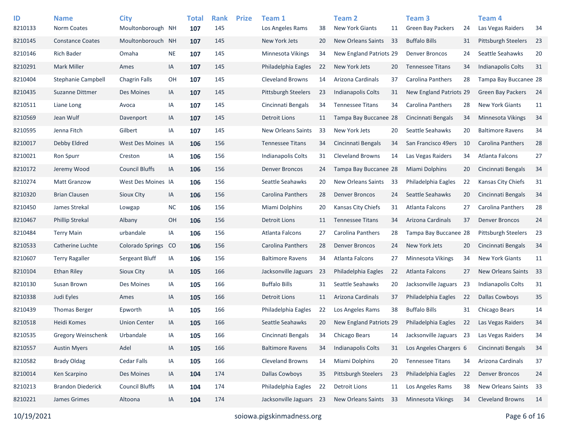| ID      | <b>Name</b>               | City                    |               | <b>Total</b> | <b>Rank</b> | <b>Prize</b> | Team 1                     |    | Team 2                     |    | Team 3                   |    | Team 4                     |     |
|---------|---------------------------|-------------------------|---------------|--------------|-------------|--------------|----------------------------|----|----------------------------|----|--------------------------|----|----------------------------|-----|
| 8210133 | <b>Norm Coates</b>        | Moultonborough NH       |               | 107          | 145         |              | Los Angeles Rams           | 38 | <b>New York Giants</b>     | 11 | <b>Green Bay Packers</b> | 24 | Las Vegas Raiders          | 34  |
| 8210145 | <b>Constance Coates</b>   | Moultonborouch NH       |               | 107          | 145         |              | New York Jets              | 20 | <b>New Orleans Saints</b>  | 33 | <b>Buffalo Bills</b>     | 31 | Pittsburgh Steelers        | 23  |
| 8210146 | <b>Rich Bader</b>         | Omaha                   | <b>NE</b>     | 107          | 145         |              | Minnesota Vikings          | 34 | New England Patriots 29    |    | <b>Denver Broncos</b>    | 24 | Seattle Seahawks           | 20  |
| 8210291 | <b>Mark Miller</b>        | Ames                    | IA            | 107          | 145         |              | Philadelphia Eagles        | 22 | New York Jets              | 20 | <b>Tennessee Titans</b>  | 34 | <b>Indianapolis Colts</b>  | 31  |
| 8210404 | <b>Stephanie Campbell</b> | Chagrin Falls           | OH            | 107          | 145         |              | <b>Cleveland Browns</b>    | 14 | Arizona Cardinals          | 37 | Carolina Panthers        | 28 | Tampa Bay Buccanee 28      |     |
| 8210435 | Suzanne Dittmer           | Des Moines              | IA            | 107          | 145         |              | <b>Pittsburgh Steelers</b> | 23 | <b>Indianapolis Colts</b>  | 31 | New England Patriots 29  |    | <b>Green Bay Packers</b>   | -24 |
| 8210511 | Liane Long                | Avoca                   | IA            | 107          | 145         |              | Cincinnati Bengals         | 34 | <b>Tennessee Titans</b>    | 34 | Carolina Panthers        | 28 | <b>New York Giants</b>     | 11  |
| 8210569 | Jean Wulf                 | Davenport               | IA            | 107          | 145         |              | <b>Detroit Lions</b>       | 11 | Tampa Bay Buccanee 28      |    | Cincinnati Bengals       | 34 | Minnesota Vikings          | 34  |
| 8210595 | Jenna Fitch               | Gilbert                 | IA            | 107          | 145         |              | <b>New Orleans Saints</b>  | 33 | New York Jets              | 20 | Seattle Seahawks         | 20 | <b>Baltimore Ravens</b>    | 34  |
| 8210017 | Debby Eldred              | West Des Moines IA      |               | 106          | 156         |              | <b>Tennessee Titans</b>    | 34 | Cincinnati Bengals         | 34 | San Francisco 49ers      | 10 | <b>Carolina Panthers</b>   | 28  |
| 8210021 | Ron Spurr                 | Creston                 | IA            | 106          | 156         |              | Indianapolis Colts         | 31 | <b>Cleveland Browns</b>    | 14 | Las Vegas Raiders        | 34 | Atlanta Falcons            | 27  |
| 8210172 | Jeremy Wood               | <b>Council Bluffs</b>   | IA            | 106          | 156         |              | <b>Denver Broncos</b>      | 24 | Tampa Bay Buccanee 28      |    | Miami Dolphins           | 20 | Cincinnati Bengals         | 34  |
| 8210274 | <b>Matt Granzow</b>       | West Des Moines IA      |               | 106          | 156         |              | Seattle Seahawks           | 20 | New Orleans Saints         | 33 | Philadelphia Eagles      | 22 | Kansas City Chiefs         | 31  |
| 8210320 | <b>Brian Clausen</b>      | Sioux Clty              | IA            | 106          | 156         |              | Carolina Panthers          | 28 | <b>Denver Broncos</b>      | 24 | Seattle Seahawks         | 20 | Cincinnati Bengals         | 34  |
| 8210450 | James Strekal             | Lowgap                  | <b>NC</b>     | 106          | 156         |              | Miami Dolphins             | 20 | Kansas City Chiefs         | 31 | Atlanta Falcons          | 27 | Carolina Panthers          | 28  |
| 8210467 | <b>Phillip Strekal</b>    | Albany                  | OH            | 106          | 156         |              | <b>Detroit Lions</b>       | 11 | <b>Tennessee Titans</b>    | 34 | Arizona Cardinals        | 37 | <b>Denver Broncos</b>      | 24  |
| 8210484 | <b>Terry Main</b>         | urbandale               | IA            | 106          | 156         |              | Atlanta Falcons            | 27 | Carolina Panthers          | 28 | Tampa Bay Buccanee 28    |    | <b>Pittsburgh Steelers</b> | 23  |
| 8210533 | Catherine Luchte          | <b>Colorado Springs</b> | <sub>co</sub> | 106          | 156         |              | Carolina Panthers          | 28 | <b>Denver Broncos</b>      | 24 | New York Jets            | 20 | Cincinnati Bengals         | 34  |
| 8210607 | <b>Terry Ragaller</b>     | Sergeant Bluff          | IA            | 106          | 156         |              | <b>Baltimore Ravens</b>    | 34 | Atlanta Falcons            | 27 | Minnesota Vikings        | 34 | <b>New York Giants</b>     | 11  |
| 8210104 | Ethan Riley               | Sioux City              | IA            | 105          | 166         |              | Jacksonville Jaguars       | 23 | Philadelphia Eagles        | 22 | Atlanta Falcons          | 27 | New Orleans Saints         | 33  |
| 8210130 | Susan Brown               | Des Moines              | IA            | 105          | 166         |              | <b>Buffalo Bills</b>       | 31 | Seattle Seahawks           | 20 | Jacksonville Jaguars     | 23 | <b>Indianapolis Colts</b>  | 31  |
| 8210338 | Judi Eyles                | Ames                    | IA            | 105          | 166         |              | <b>Detroit Lions</b>       | 11 | Arizona Cardinals          | 37 | Philadelphia Eagles      | 22 | <b>Dallas Cowboys</b>      | 35  |
| 8210439 | <b>Thomas Berger</b>      | Epworth                 | IA            | 105          | 166         |              | Philadelphia Eagles        | 22 | Los Angeles Rams           | 38 | <b>Buffalo Bills</b>     | 31 | Chicago Bears              | 14  |
| 8210518 | Heidi Komes               | <b>Union Center</b>     | IA            | 105          | 166         |              | Seattle Seahawks           | 20 | New England Patriots 29    |    | Philadelphia Eagles      | 22 | Las Vegas Raiders          | 34  |
| 8210535 | <b>Gregory Weinschenk</b> | Urbandale               | IA            | 105          | 166         |              | Cincinnati Bengals         | 34 | Chicago Bears              | 14 | Jacksonville Jaguars     | 23 | Las Vegas Raiders          | 34  |
| 8210557 | <b>Austin Myers</b>       | Adel                    | IA            | 105          | 166         |              | <b>Baltimore Ravens</b>    | 34 | Indianapolis Colts         | 31 | Los Angeles Chargers 6   |    | Cincinnati Bengals         | 34  |
| 8210582 | <b>Brady Oldag</b>        | Cedar Falls             | IA            | 105          | 166         |              | Cleveland Browns           | 14 | Miami Dolphins             | 20 | <b>Tennessee Titans</b>  | 34 | Arizona Cardinals          | 37  |
| 8210014 | Ken Scarpino              | Des Moines              | IA            | 104          | 174         |              | <b>Dallas Cowboys</b>      | 35 | <b>Pittsburgh Steelers</b> | 23 | Philadelphia Eagles      | 22 | <b>Denver Broncos</b>      | 24  |
| 8210213 | <b>Brandon Diederick</b>  | <b>Council Bluffs</b>   | IA            | 104          | 174         |              | Philadelphia Eagles        | 22 | <b>Detroit Lions</b>       | 11 | Los Angeles Rams         | 38 | New Orleans Saints         | 33  |
| 8210221 | James Grimes              | Altoona                 | IA            | 104          | 174         |              | Jacksonville Jaguars 23    |    | New Orleans Saints         | 33 | Minnesota Vikings        | 34 | <b>Cleveland Browns</b>    | 14  |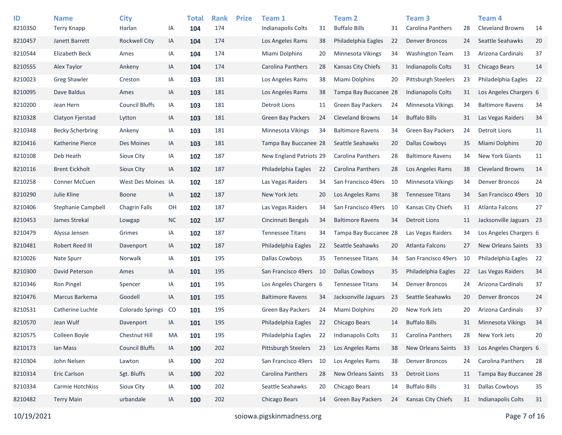| ID      | <b>Name</b>               | <b>City</b>             |           | <b>Total</b> | <b>Rank</b><br>174 | <b>Prize</b> | Team 1                     |    | <b>Team 2</b><br><b>Buffalo Bills</b> |    | Team <sub>3</sub>          |     | Team 4                    |    |
|---------|---------------------------|-------------------------|-----------|--------------|--------------------|--------------|----------------------------|----|---------------------------------------|----|----------------------------|-----|---------------------------|----|
| 8210350 | <b>Terry Knapp</b>        | Harlan                  | ΙA        | 104          |                    |              | Indianapolis Colts         | 31 |                                       | 31 | <b>Carolina Panthers</b>   | 28  | <b>Cleveland Browns</b>   | 14 |
| 8210457 | Janett Barrett            | <b>Rockwell City</b>    | IA        | 104          | 174                |              | Los Angeles Rams           | 38 | Philadelphia Eagles                   | 22 | Denver Broncos             | 24  | Seattle Seahawks          | 20 |
| 8210544 | <b>Elizabeth Beck</b>     | Ames                    | IA        | 104          | 174                |              | Miami Dolphins             | 20 | Minnesota Vikings                     | 34 | <b>Washington Team</b>     | 13  | Arizona Cardinals         | 37 |
| 8210555 | Alex Taylor               | Ankeny                  | IA        | 104          | 174                |              | <b>Carolina Panthers</b>   | 28 | Kansas City Chiefs                    | 31 | Indianapolis Colts         | 31  | <b>Chicago Bears</b>      | 14 |
| 8210023 | <b>Greg Shawler</b>       | Creston                 | IA        | 103          | 181                |              | Los Angeles Rams           | 38 | <b>Miami Dolphins</b>                 | 20 | <b>Pittsburgh Steelers</b> | 23  | Philadelphia Eagles       | 22 |
| 8210095 | Dave Baldus               | Ames                    | IA        | 103          | 181                |              | Los Angeles Rams           | 38 | Tampa Bay Buccanee 28                 |    | Indianapolis Colts         | 31  | Los Angeles Chargers 6    |    |
| 8210200 | Jean Hern                 | <b>Council Bluffs</b>   | IA        | 103          | 181                |              | Detroit Lions              | 11 | Green Bay Packers                     | 24 | <b>Minnesota Vikings</b>   | 34  | <b>Baltimore Ravens</b>   | 34 |
| 8210328 | Clatyon Fjerstad          | Lytton                  | IA        | 103          | 181                |              | Green Bay Packers          | 24 | <b>Cleveland Browns</b>               | 14 | <b>Buffalo Bills</b>       | 31  | Las Vegas Raiders         | 34 |
| 8210348 | <b>Becky Scherbring</b>   | Ankeny                  | IA        | 103          | 181                |              | Minnesota Vikings          | 34 | <b>Baltimore Ravens</b>               | 34 | <b>Green Bay Packers</b>   | 24  | <b>Detroit Lions</b>      | 11 |
| 8210416 | Katherine Pierce          | Des Moines              | IA        | 103          | 181                |              | Tampa Bay Buccanee 28      |    | Seattle Seahawks                      | 20 | <b>Dallas Cowboys</b>      | 35  | Miami Dolphins            | 20 |
| 8210108 | Deb Heath                 | Sioux City              | IA        | 102          | 187                |              | New England Patriots 29    |    | Carolina Panthers                     | 28 | <b>Baltimore Ravens</b>    | 34  | <b>New York Giants</b>    | 11 |
| 8210116 | <b>Brent Eickholt</b>     | Sioux City              | IA        | 102          | 187                |              | Philadelphia Eagles        | 22 | Carolina Panthers                     | 28 | Los Angeles Rams           | 38  | <b>Cleveland Browns</b>   | 14 |
| 8210258 | <b>Conner McCuen</b>      | West Des Moines IA      |           | 102          | 187                |              | Las Vegas Raiders          | 34 | San Francisco 49ers                   | 10 | <b>Minnesota Vikings</b>   | 34  | <b>Denver Broncos</b>     | 24 |
| 8210290 | Julie Kline               | <b>Boone</b>            | IA        | 102          | 187                |              | New York Jets              | 20 | Los Angeles Rams                      | 38 | <b>Tennessee Titans</b>    | 34  | San Francisco 49ers       | 10 |
| 8210406 | <b>Stephanie Campbell</b> | <b>Chagrin Falls</b>    | OH        | 102          | 187                |              | Las Vegas Raiders          | 34 | San Francisco 49ers                   | 10 | Kansas City Chiefs         | 31  | Atlanta Falcons           | 27 |
| 8210453 | James Strekal             | Lowgap                  | <b>NC</b> | 102          | 187                |              | Cincinnati Bengals         | 34 | <b>Baltimore Ravens</b>               | 34 | <b>Detroit Lions</b>       | 11  | Jacksonville Jaguars 23   |    |
| 8210479 | Alyssa Jensen             | Grimes                  | IA        | 102          | 187                |              | <b>Tennessee Titans</b>    | 34 | Tampa Bay Buccanee 28                 |    | Las Vegas Raiders          | 34  | Los Angeles Chargers 6    |    |
| 8210481 | Robert Reed III           | Davenport               | IA        | 102          | 187                |              | Philadelphia Eagles        | 22 | Seattle Seahawks                      | 20 | Atlanta Falcons            | 27  | New Orleans Saints 33     |    |
| 8210026 | Nate Spurr                | Norwalk                 | IA        | 101          | 195                |              | <b>Dallas Cowboys</b>      | 35 | <b>Tennessee Titans</b>               | 34 | San Francisco 49ers        | -10 | Philadelphia Eagles       | 22 |
| 8210300 | David Peterson            | Ames                    | IA        | 101          | 195                |              | San Francisco 49ers        | 10 | Dallas Cowboys                        | 35 | Philadelphia Eagles        | 22  | Las Vegas Raiders         | 34 |
| 8210346 | Ron Pingel                | Spencer                 | IA        | 101          | 195                |              | Los Angeles Chargers 6     |    | <b>Tennessee Titans</b>               | 34 | <b>Denver Broncos</b>      | 24  | Arizona Cardinals         | 37 |
| 8210476 | Marcus Barkema            | Goodell                 | IA        | 101          | 195                |              | <b>Baltimore Ravens</b>    | 34 | Jacksonville Jaguars                  | 23 | Seattle Seahawks           | 20  | <b>Denver Broncos</b>     | 24 |
| 8210531 | Catherine Luchte          | <b>Colorado Springs</b> | CO        | 101          | 195                |              | <b>Green Bay Packers</b>   | 24 | <b>Miami Dolphins</b>                 | 20 | New York Jets              | 20  | Arizona Cardinals         | 37 |
| 8210570 | Jean Wulf                 | Davenport               | IA        | 101          | 195                |              | Philadelphia Eagles        | 22 | Chicago Bears                         | 14 | <b>Buffalo Bills</b>       | 31  | <b>Minnesota Vikings</b>  | 34 |
| 8210575 | Colleen Boyle             | Chestnut Hill           | MA        | 101          | 195                |              | Philadelphia Eagles        | 22 | <b>Indianapolis Colts</b>             | 31 | Carolina Panthers          | 28  | New York Jets             | 20 |
| 8210173 | Ian Mass                  | <b>Council Bluffs</b>   | IA        | 100          | 202                |              | <b>Pittsburgh Steelers</b> | 23 | Los Angeles Rams                      | 38 | New Orleans Saints         | 33  | Los Angeles Chargers 6    |    |
| 8210304 | John Nelsen               | Lawton                  | IA        | 100          | 202                |              | San Francisco 49ers        | 10 | Los Angeles Rams                      | 38 | <b>Denver Broncos</b>      | 24  | Carolina Panthers         | 28 |
| 8210314 | Eric Carlson              | Sgt. Bluffs             | IA        | 100          | 202                |              | Carolina Panthers          | 28 | <b>New Orleans Saints</b>             | 33 | <b>Detroit Lions</b>       | 11  | Tampa Bay Buccanee 28     |    |
| 8210334 | Carmie Hotchkiss          | Sioux City              | IA        | 100          | 202                |              | Seattle Seahawks           | 20 | Chicago Bears                         | 14 | <b>Buffalo Bills</b>       | 31  | <b>Dallas Cowboys</b>     | 35 |
| 8210482 | <b>Terry Main</b>         | urbandale               | IA        | 100          | 202                |              | Chicago Bears              | 14 | Green Bay Packers                     | 24 | Kansas City Chiefs         | 31  | <b>Indianapolis Colts</b> | 31 |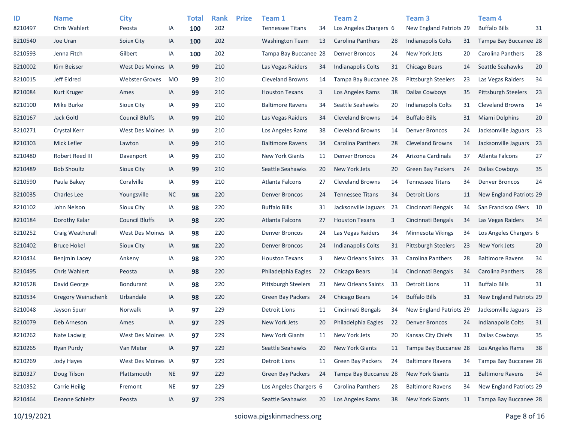| ID<br>8210497 | <b>Name</b><br>Chris Wahlert | <b>City</b><br>Peosta | IA        | <b>Total</b><br>100 | <b>Rank</b><br>202 | <b>Prize</b> | Team 1<br><b>Tennessee Titans</b> | 34 | Team <sub>2</sub><br>Los Angeles Chargers 6 |    | Team <sub>3</sub><br>New England Patriots 29 |    | Team <sub>4</sub><br><b>Buffalo Bills</b> | 31 |
|---------------|------------------------------|-----------------------|-----------|---------------------|--------------------|--------------|-----------------------------------|----|---------------------------------------------|----|----------------------------------------------|----|-------------------------------------------|----|
| 8210540       | Joe Uran                     | Soiux City            | IA        | 100                 | 202                |              | <b>Washington Team</b>            | 13 | Carolina Panthers                           | 28 | Indianapolis Colts                           | 31 | Tampa Bay Buccanee 28                     |    |
| 8210593       | Jenna Fitch                  | Gilbert               | IA        | 100                 | 202                |              | Tampa Bay Buccanee 28             |    | <b>Denver Broncos</b>                       | 24 | New York Jets                                | 20 | Carolina Panthers                         | 28 |
| 8210002       | Kim Beisser                  | West Des Moines IA    |           | 99                  | 210                |              | Las Vegas Raiders                 | 34 | <b>Indianapolis Colts</b>                   | 31 | Chicago Bears                                | 14 | Seattle Seahawks                          | 20 |
| 8210015       | Jeff Eldred                  | <b>Webster Groves</b> | MO        | 99                  | 210                |              | <b>Cleveland Browns</b>           | 14 | Tampa Bay Buccanee 28                       |    | <b>Pittsburgh Steelers</b>                   | 23 | Las Vegas Raiders                         | 34 |
| 8210084       | Kurt Kruger                  | Ames                  | IA        | 99                  | 210                |              | <b>Houston Texans</b>             | 3  | Los Angeles Rams                            | 38 | <b>Dallas Cowboys</b>                        | 35 | <b>Pittsburgh Steelers</b>                | 23 |
| 8210100       | Mike Burke                   | Sioux City            | IA        | 99                  | 210                |              | <b>Baltimore Ravens</b>           | 34 | Seattle Seahawks                            | 20 | Indianapolis Colts                           | 31 | <b>Cleveland Browns</b>                   | 14 |
| 8210167       | <b>Jack Goltl</b>            | <b>Council Bluffs</b> | IA        | 99                  | 210                |              | Las Vegas Raiders                 | 34 | <b>Cleveland Browns</b>                     | 14 | <b>Buffalo Bills</b>                         | 31 | Miami Dolphins                            | 20 |
| 8210271       | Crystal Kerr                 | West Des Moines IA    |           | 99                  | 210                |              | Los Angeles Rams                  | 38 | <b>Cleveland Browns</b>                     | 14 | <b>Denver Broncos</b>                        | 24 | Jacksonville Jaguars 23                   |    |
| 8210303       | Mick Lefler                  | Lawton                | IA        | 99                  | 210                |              | <b>Baltimore Ravens</b>           | 34 | <b>Carolina Panthers</b>                    | 28 | <b>Cleveland Browns</b>                      | 14 | Jacksonville Jaguars 23                   |    |
| 8210480       | Robert Reed III              | Davenport             | IA        | 99                  | 210                |              | <b>New York Giants</b>            | 11 | <b>Denver Broncos</b>                       | 24 | Arizona Cardinals                            | 37 | Atlanta Falcons                           | 27 |
| 8210489       | <b>Bob Shoultz</b>           | <b>Sioux City</b>     | IA        | 99                  | 210                |              | Seattle Seahawks                  | 20 | New York Jets                               | 20 | <b>Green Bay Packers</b>                     | 24 | <b>Dallas Cowboys</b>                     | 35 |
| 8210590       | Paula Bakey                  | Coralville            | IA        | 99                  | 210                |              | Atlanta Falcons                   | 27 | <b>Cleveland Browns</b>                     | 14 | <b>Tennessee Titans</b>                      | 34 | <b>Denver Broncos</b>                     | 24 |
| 8210035       | <b>Charles Lee</b>           | Youngsville           | <b>NC</b> | 98                  | 220                |              | <b>Denver Broncos</b>             | 24 | <b>Tennessee Titans</b>                     | 34 | <b>Detroit Lions</b>                         | 11 | New England Patriots 29                   |    |
| 8210102       | John Nelson                  | Sioux City            | IA        | 98                  | 220                |              | <b>Buffalo Bills</b>              | 31 | Jacksonville Jaguars                        | 23 | Cincinnati Bengals                           | 34 | San Francisco 49ers 10                    |    |
| 8210184       | Dorothy Kalar                | <b>Council Bluffs</b> | IA        | 98                  | 220                |              | Atlanta Falcons                   | 27 | <b>Houston Texans</b>                       | 3  | Cincinnati Bengals                           | 34 | Las Vegas Raiders                         | 34 |
| 8210252       | Craig Weatherall             | West Des Moines IA    |           | 98                  | 220                |              | <b>Denver Broncos</b>             | 24 | Las Vegas Raiders                           | 34 | <b>Minnesota Vikings</b>                     | 34 | Los Angeles Chargers 6                    |    |
| 8210402       | <b>Bruce Hokel</b>           | <b>Sioux City</b>     | IA        | 98                  | 220                |              | <b>Denver Broncos</b>             | 24 | <b>Indianapolis Colts</b>                   | 31 | <b>Pittsburgh Steelers</b>                   | 23 | New York Jets                             | 20 |
| 8210434       | Benjmin Lacey                | Ankeny                | IA        | 98                  | 220                |              | <b>Houston Texans</b>             | 3  | New Orleans Saints                          | 33 | Carolina Panthers                            | 28 | <b>Baltimore Ravens</b>                   | 34 |
| 8210495       | Chris Wahlert                | Peosta                | IA        | 98                  | 220                |              | Philadelphia Eagles               | 22 | Chicago Bears                               | 14 | Cincinnati Bengals                           | 34 | Carolina Panthers                         | 28 |
| 8210528       | David George                 | <b>Bondurant</b>      | IA        | 98                  | 220                |              | <b>Pittsburgh Steelers</b>        | 23 | New Orleans Saints                          | 33 | Detroit Lions                                | 11 | <b>Buffalo Bills</b>                      | 31 |
| 8210534       | Gregory Weinschenk           | Urbandale             | IA        | 98                  | 220                |              | <b>Green Bay Packers</b>          | 24 | Chicago Bears                               | 14 | <b>Buffalo Bills</b>                         | 31 | New England Patriots 29                   |    |
| 8210048       | Jayson Spurr                 | Norwalk               | IA        | 97                  | 229                |              | Detroit Lions                     | 11 | Cincinnati Bengals                          | 34 | New England Patriots 29                      |    | Jacksonville Jaguars 23                   |    |
| 8210079       | Deb Arneson                  | Ames                  | IA        | 97                  | 229                |              | New York Jets                     | 20 | Philadelphia Eagles                         | 22 | <b>Denver Broncos</b>                        | 24 | <b>Indianapolis Colts</b>                 | 31 |
| 8210262       | Nate Ladwig                  | West Des Moines IA    |           | 97                  | 229                |              | New York Giants                   | 11 | New York Jets                               | 20 | Kansas City Chiefs                           | 31 | <b>Dallas Cowboys</b>                     | 35 |
| 8210265       | Ryan Purdy                   | Van Meter             | IA        | 97                  | 229                |              | Seattle Seahawks                  | 20 | New York Giants                             | 11 | Tampa Bay Buccanee 28                        |    | Los Angeles Rams                          | 38 |
| 8210269       | Jody Hayes                   | West Des Moines IA    |           | 97                  | 229                |              | <b>Detroit Lions</b>              | 11 | <b>Green Bay Packers</b>                    | 24 | <b>Baltimore Ravens</b>                      | 34 | Tampa Bay Buccanee 28                     |    |
| 8210327       | Doug Tilson                  | Plattsmouth           | <b>NE</b> | 97                  | 229                |              | Green Bay Packers                 | 24 | Tampa Bay Buccanee 28                       |    | New York Giants                              | 11 | <b>Baltimore Ravens</b>                   | 34 |
| 8210352       | <b>Carrie Heilig</b>         | Fremont               | <b>NE</b> | 97                  | 229                |              | Los Angeles Chargers 6            |    | Carolina Panthers                           | 28 | <b>Baltimore Ravens</b>                      | 34 | New England Patriots 29                   |    |
| 8210464       | Deanne Schieltz              | Peosta                | IA        | 97                  | 229                |              | Seattle Seahawks                  | 20 | Los Angeles Rams                            | 38 | <b>New York Giants</b>                       | 11 | Tampa Bay Buccanee 28                     |    |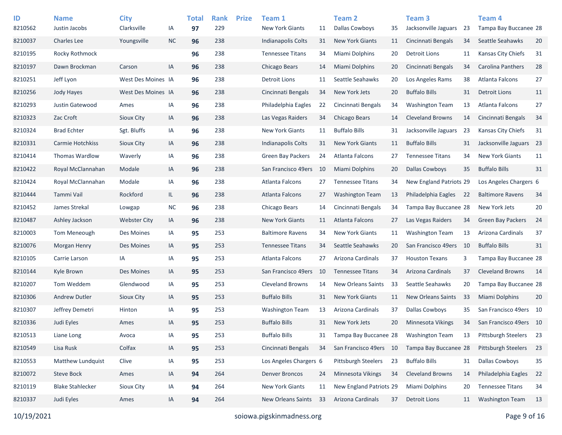| ID      | <b>Name</b>             | <b>City</b>         |           | <b>Total</b> | <b>Rank</b> | <b>Prize</b> | Team 1                   |    | <b>Team 2</b>             |    | Team <sub>3</sub>         |    | <b>Team 4</b>            |    |
|---------|-------------------------|---------------------|-----------|--------------|-------------|--------------|--------------------------|----|---------------------------|----|---------------------------|----|--------------------------|----|
| 8210562 | Justin Jacobs           | Clarksville         | IA        | 97           | 229         |              | <b>New York Giants</b>   | 11 | <b>Dallas Cowboys</b>     | 35 | Jacksonville Jaguars      | 23 | Tampa Bay Buccanee 28    |    |
| 8210037 | <b>Charles Lee</b>      | Youngsville         | <b>NC</b> | 96           | 238         |              | Indianapolis Colts       | 31 | <b>New York Giants</b>    | 11 | Cincinnati Bengals        | 34 | Seattle Seahawks         | 20 |
| 8210195 | Rocky Rothmock          |                     |           | 96           | 238         |              | <b>Tennessee Titans</b>  | 34 | <b>Miami Dolphins</b>     | 20 | Detroit Lions             | 11 | Kansas City Chiefs       | 31 |
| 8210197 | Dawn Brockman           | Carson              | IA        | 96           | 238         |              | Chicago Bears            | 14 | <b>Miami Dolphins</b>     | 20 | Cincinnati Bengals        | 34 | <b>Carolina Panthers</b> | 28 |
| 8210251 | Jeff Lyon               | West Des Moines IA  |           | 96           | 238         |              | <b>Detroit Lions</b>     | 11 | Seattle Seahawks          | 20 | Los Angeles Rams          | 38 | Atlanta Falcons          | 27 |
| 8210256 | Jody Hayes              | West Des Moines IA  |           | 96           | 238         |              | Cincinnati Bengals       | 34 | New York Jets             | 20 | <b>Buffalo Bills</b>      | 31 | <b>Detroit Lions</b>     | 11 |
| 8210293 | Justin Gatewood         | Ames                | IA        | 96           | 238         |              | Philadelphia Eagles      | 22 | Cincinnati Bengals        | 34 | <b>Washington Team</b>    | 13 | <b>Atlanta Falcons</b>   | 27 |
| 8210323 | Zac Croft               | Sioux City          | IA        | 96           | 238         |              | Las Vegas Raiders        | 34 | Chicago Bears             | 14 | <b>Cleveland Browns</b>   | 14 | Cincinnati Bengals       | 34 |
| 8210324 | <b>Brad Echter</b>      | Sgt. Bluffs         | IA        | 96           | 238         |              | <b>New York Giants</b>   | 11 | <b>Buffalo Bills</b>      | 31 | Jacksonville Jaguars      | 23 | Kansas City Chiefs       | 31 |
| 8210331 | Carmie Hotchkiss        | Sioux City          | IA        | 96           | 238         |              | Indianapolis Colts       | 31 | <b>New York Giants</b>    | 11 | <b>Buffalo Bills</b>      | 31 | Jacksonville Jaguars 23  |    |
| 8210414 | <b>Thomas Wardlow</b>   | Waverly             | IA        | 96           | 238         |              | <b>Green Bay Packers</b> | 24 | <b>Atlanta Falcons</b>    | 27 | <b>Tennessee Titans</b>   | 34 | <b>New York Giants</b>   | 11 |
| 8210422 | Royal McClannahan       | Modale              | IA        | 96           | 238         |              | San Francisco 49ers      | 10 | <b>Miami Dolphins</b>     | 20 | <b>Dallas Cowboys</b>     | 35 | <b>Buffalo Bills</b>     | 31 |
| 8210424 | Royal McClannahan       | Modale              | IA        | 96           | 238         |              | Atlanta Falcons          | 27 | <b>Tennessee Titans</b>   | 34 | New England Patriots 29   |    | Los Angeles Chargers 6   |    |
| 8210444 | Tammi Vail              | Rockford            | IL.       | 96           | 238         |              | Atlanta Falcons          | 27 | <b>Washington Team</b>    | 13 | Philadelphia Eagles       | 22 | <b>Baltimore Ravens</b>  | 34 |
| 8210452 | James Strekal           | Lowgap              | $NC$      | 96           | 238         |              | Chicago Bears            | 14 | Cincinnati Bengals        | 34 | Tampa Bay Buccanee 28     |    | New York Jets            | 20 |
| 8210487 | Ashley Jackson          | <b>Webster City</b> | IA        | 96           | 238         |              | <b>New York Giants</b>   | 11 | <b>Atlanta Falcons</b>    | 27 | Las Vegas Raiders         | 34 | <b>Green Bay Packers</b> | 24 |
| 8210003 | Tom Meneough            | Des Moines          | IA        | 95           | 253         |              | <b>Baltimore Ravens</b>  | 34 | <b>New York Giants</b>    | 11 | <b>Washington Team</b>    | 13 | Arizona Cardinals        | 37 |
| 8210076 | <b>Morgan Henry</b>     | Des Moines          | IA        | 95           | 253         |              | <b>Tennessee Titans</b>  | 34 | Seattle Seahawks          | 20 | San Francisco 49ers       | 10 | <b>Buffalo Bills</b>     | 31 |
| 8210105 | Carrie Larson           | IA                  | IA        | 95           | 253         |              | Atlanta Falcons          | 27 | Arizona Cardinals         | 37 | <b>Houston Texans</b>     | 3  | Tampa Bay Buccanee 28    |    |
| 8210144 | Kyle Brown              | Des Moines          | IA        | 95           | 253         |              | San Francisco 49ers      | 10 | <b>Tennessee Titans</b>   | 34 | Arizona Cardinals         | 37 | <b>Cleveland Browns</b>  | 14 |
| 8210207 | Tom Weddem              | Glendwood           | IA        | 95           | 253         |              | <b>Cleveland Browns</b>  | 14 | <b>New Orleans Saints</b> | 33 | Seattle Seahawks          | 20 | Tampa Bay Buccanee 28    |    |
| 8210306 | <b>Andrew Dutler</b>    | Sioux City          | IA        | 95           | 253         |              | <b>Buffalo Bills</b>     | 31 | <b>New York Giants</b>    | 11 | <b>New Orleans Saints</b> | 33 | <b>Miami Dolphins</b>    | 20 |
| 8210307 | Jeffrey Demetri         | Hinton              | IA        | 95           | 253         |              | <b>Washington Team</b>   | 13 | Arizona Cardinals         | 37 | <b>Dallas Cowboys</b>     | 35 | San Francisco 49ers 10   |    |
| 8210336 | Judi Eyles              | Ames                | IA        | 95           | 253         |              | <b>Buffalo Bills</b>     | 31 | New York Jets             | 20 | Minnesota Vikings         | 34 | San Francisco 49ers 10   |    |
| 8210513 | Liane Long              | Avoca               | IA        | 95           | 253         |              | <b>Buffalo Bills</b>     | 31 | Tampa Bay Buccanee 28     |    | <b>Washington Team</b>    | 13 | Pittsburgh Steelers      | 23 |
| 8210549 | Lisa Rusk               | Colfax              | IA        | 95           | 253         |              | Cincinnati Bengals       | 34 | San Francisco 49ers 10    |    | Tampa Bay Buccanee 28     |    | Pittsburgh Steelers      | 23 |
| 8210553 | Matthew Lundquist       | Clive               | IA        | 95           | 253         |              | Los Angeles Chargers 6   |    | Pittsburgh Steelers       | 23 | <b>Buffalo Bills</b>      | 31 | <b>Dallas Cowboys</b>    | 35 |
| 8210072 | Steve Bock              | Ames                | IA        | 94           | 264         |              | <b>Denver Broncos</b>    | 24 | Minnesota Vikings         | 34 | <b>Cleveland Browns</b>   | 14 | Philadelphia Eagles      | 22 |
| 8210119 | <b>Blake Stahlecker</b> | Sioux City          | IA        | 94           | 264         |              | New York Giants          | 11 | New England Patriots 29   |    | Miami Dolphins            | 20 | <b>Tennessee Titans</b>  | 34 |
| 8210337 | Judi Eyles              | Ames                | IA        | 94           | 264         |              | New Orleans Saints       | 33 | Arizona Cardinals         | 37 | <b>Detroit Lions</b>      | 11 | <b>Washington Team</b>   | 13 |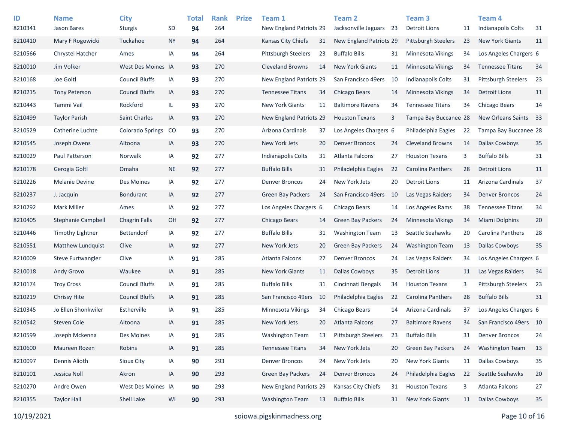| ID<br>8210341 | <b>Name</b><br>Jason Bares | <b>City</b><br><b>Sturgis</b> | <b>SD</b>     | <b>Total</b><br>94 | <b>Rank</b><br>264 | <b>Prize</b> | Team 1<br>New England Patriots 29 |    | <b>Team 2</b><br>Jacksonville Jaguars 23 |     | Team <sub>3</sub><br><b>Detroit Lions</b> | 11 | Team <sub>4</sub><br><b>Indianapolis Colts</b> | 31 |
|---------------|----------------------------|-------------------------------|---------------|--------------------|--------------------|--------------|-----------------------------------|----|------------------------------------------|-----|-------------------------------------------|----|------------------------------------------------|----|
| 8210410       | Mary F Rogowicki           | Tuckahoe                      | <b>NY</b>     | 94                 | 264                |              | Kansas City Chiefs                | 31 | New England Patriots 29                  |     | <b>Pittsburgh Steelers</b>                | 23 | <b>New York Giants</b>                         | 11 |
| 8210566       | Chrystel Hatcher           | Ames                          | IA            | 94                 | 264                |              | Pittsburgh Steelers               | 23 | <b>Buffalo Bills</b>                     | 31  | <b>Minnesota Vikings</b>                  | 34 | Los Angeles Chargers 6                         |    |
| 8210010       | Jim Volker                 | West Des Moines IA            |               | 93                 | 270                |              | <b>Cleveland Browns</b>           | 14 | <b>New York Giants</b>                   | 11  | <b>Minnesota Vikings</b>                  | 34 | <b>Tennessee Titans</b>                        | 34 |
| 8210168       | Joe Goltl                  | <b>Council Bluffs</b>         | IA            | 93                 | 270                |              | New England Patriots 29           |    | San Francisco 49ers                      | 10  | <b>Indianapolis Colts</b>                 | 31 | <b>Pittsburgh Steelers</b>                     | 23 |
| 8210215       | <b>Tony Peterson</b>       | <b>Council Bluffs</b>         | IA            | 93                 | 270                |              | <b>Tennessee Titans</b>           | 34 | Chicago Bears                            | 14  | <b>Minnesota Vikings</b>                  | 34 | <b>Detroit Lions</b>                           | 11 |
| 8210443       | Tammi Vail                 | Rockford                      | IL.           | 93                 | 270                |              | <b>New York Giants</b>            | 11 | <b>Baltimore Ravens</b>                  | 34  | <b>Tennessee Titans</b>                   | 34 | Chicago Bears                                  | 14 |
| 8210499       | <b>Taylor Parish</b>       | <b>Saint Charles</b>          | IA            | 93                 | 270                |              | New England Patriots 29           |    | <b>Houston Texans</b>                    | 3   | Tampa Bay Buccanee 28                     |    | <b>New Orleans Saints</b>                      | 33 |
| 8210529       | Catherine Luchte           | <b>Colorado Springs</b>       | <sub>co</sub> | 93                 | 270                |              | Arizona Cardinals                 | 37 | Los Angeles Chargers 6                   |     | Philadelphia Eagles                       | 22 | Tampa Bay Buccanee 28                          |    |
| 8210545       | Joseph Owens               | Altoona                       | IA            | 93                 | 270                |              | New York Jets                     | 20 | <b>Denver Broncos</b>                    | 24  | <b>Cleveland Browns</b>                   | 14 | <b>Dallas Cowboys</b>                          | 35 |
| 8210029       | Paul Patterson             | Norwalk                       | IA            | 92                 | 277                |              | Indianapolis Colts                | 31 | Atlanta Falcons                          | 27  | <b>Houston Texans</b>                     | 3  | <b>Buffalo Bills</b>                           | 31 |
| 8210178       | Gerogia Goltl              | Omaha                         | <b>NE</b>     | 92                 | 277                |              | <b>Buffalo Bills</b>              | 31 | Philadelphia Eagles                      | 22  | Carolina Panthers                         | 28 | <b>Detroit Lions</b>                           | 11 |
| 8210226       | <b>Melanie Devine</b>      | Des Moines                    | IA            | 92                 | 277                |              | <b>Denver Broncos</b>             | 24 | New York Jets                            | 20  | <b>Detroit Lions</b>                      | 11 | Arizona Cardinals                              | 37 |
| 8210237       | J. Jacquin                 | <b>Bondurant</b>              | IA            | 92                 | 277                |              | <b>Green Bay Packers</b>          | 24 | San Francisco 49ers                      | -10 | Las Vegas Raiders                         | 34 | <b>Denver Broncos</b>                          | 24 |
| 8210292       | Mark Miller                | Ames                          | IA            | 92                 | 277                |              | Los Angeles Chargers 6            |    | Chicago Bears                            | 14  | Los Angeles Rams                          | 38 | <b>Tennessee Titans</b>                        | 34 |
| 8210405       | Stephanie Campbell         | <b>Chagrin Falls</b>          | OH            | 92                 | 277                |              | Chicago Bears                     | 14 | <b>Green Bay Packers</b>                 | 24  | <b>Minnesota Vikings</b>                  | 34 | Miami Dolphins                                 | 20 |
| 8210446       | <b>Timothy Lightner</b>    | Bettendorf                    | IA            | 92                 | 277                |              | <b>Buffalo Bills</b>              | 31 | <b>Washington Team</b>                   | 13  | Seattle Seahawks                          | 20 | Carolina Panthers                              | 28 |
| 8210551       | Matthew Lundquist          | Clive                         | IA            | 92                 | 277                |              | New York Jets                     | 20 | Green Bay Packers                        | 24  | <b>Washington Team</b>                    | 13 | <b>Dallas Cowboys</b>                          | 35 |
| 8210009       | Steve Furtwangler          | Clive                         | IA            | 91                 | 285                |              | Atlanta Falcons                   | 27 | <b>Denver Broncos</b>                    | 24  | Las Vegas Raiders                         | 34 | Los Angeles Chargers 6                         |    |
| 8210018       | Andy Grovo                 | Waukee                        | IA            | 91                 | 285                |              | <b>New York Giants</b>            | 11 | <b>Dallas Cowboys</b>                    | 35  | <b>Detroit Lions</b>                      | 11 | Las Vegas Raiders                              | 34 |
| 8210174       | <b>Troy Cross</b>          | <b>Council Bluffs</b>         | IA            | 91                 | 285                |              | <b>Buffalo Bills</b>              | 31 | Cincinnati Bengals                       | 34  | <b>Houston Texans</b>                     | 3  | <b>Pittsburgh Steelers</b>                     | 23 |
| 8210219       | <b>Chrissy Hite</b>        | <b>Council Bluffs</b>         | IA            | 91                 | 285                |              | San Francisco 49ers               | 10 | Philadelphia Eagles                      | 22  | Carolina Panthers                         | 28 | <b>Buffalo Bills</b>                           | 31 |
| 8210345       | Jo Ellen Shonkwiler        | Estherville                   | IA            | 91                 | 285                |              | Minnesota Vikings                 | 34 | Chicago Bears                            | 14  | Arizona Cardinals                         | 37 | Los Angeles Chargers 6                         |    |
| 8210542       | Steven Cole                | Altoona                       | IA            | 91                 | 285                |              | New York Jets                     | 20 | Atlanta Falcons                          | 27  | <b>Baltimore Ravens</b>                   | 34 | San Francisco 49ers 10                         |    |
| 8210599       | Joseph Mckenna             | Des Moines                    | IA            | 91                 | 285                |              | <b>Washington Team</b>            | 13 | Pittsburgh Steelers                      | 23  | <b>Buffalo Bills</b>                      | 31 | <b>Denver Broncos</b>                          | 24 |
| 8210600       | Maureen Rozen              | Robins                        | IA            | 91                 | 285                |              | <b>Tennessee Titans</b>           | 34 | New York Jets                            | 20  | <b>Green Bay Packers</b>                  | 24 | <b>Washington Team</b>                         | 13 |
| 8210097       | Dennis Alioth              | Sioux City                    | IA            | 90                 | 293                |              | <b>Denver Broncos</b>             | 24 | New York Jets                            | 20  | New York Giants                           | 11 | <b>Dallas Cowboys</b>                          | 35 |
| 8210101       | Jessica Noll               | Akron                         | IA            | 90                 | 293                |              | Green Bay Packers                 | 24 | <b>Denver Broncos</b>                    | 24  | Philadelphia Eagles                       | 22 | Seattle Seahawks                               | 20 |
| 8210270       | Andre Owen                 | West Des Moines IA            |               | 90                 | 293                |              | New England Patriots 29           |    | Kansas City Chiefs                       | 31  | <b>Houston Texans</b>                     | 3  | Atlanta Falcons                                | 27 |
| 8210355       | <b>Taylor Hall</b>         | Shell Lake                    | WI            | 90                 | 293                |              | <b>Washington Team</b>            | 13 | <b>Buffalo Bills</b>                     | 31  | New York Giants                           | 11 | <b>Dallas Cowboys</b>                          | 35 |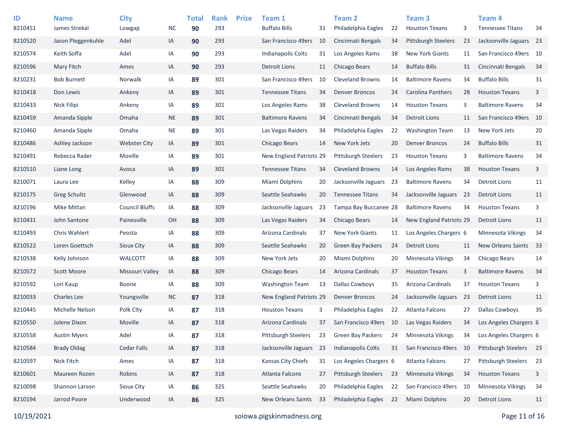| ID<br>8210451 | <b>Name</b><br>James Strekal | <b>City</b><br>Lowgap | <b>NC</b> | <b>Total</b><br>90 | <b>Rank</b><br>293 | <b>Prize</b> | Team 1<br><b>Buffalo Bills</b> | 31  | Team 2<br>Philadelphia Eagles | 22 | Team <sub>3</sub><br><b>Houston Texans</b> | 3  | Team 4<br><b>Tennessee Titans</b> | 34   |
|---------------|------------------------------|-----------------------|-----------|--------------------|--------------------|--------------|--------------------------------|-----|-------------------------------|----|--------------------------------------------|----|-----------------------------------|------|
| 8210520       | Jason Pleggenkuhle           | Adel                  | IA        | 90                 | 293                |              | San Francisco 49ers            | 10  | Cincinnati Bengals            | 34 | Pittsburgh Steelers                        | 23 | Jacksonville Jaguars 23           |      |
| 8210574       | Keith Soffa                  | Adel                  | IA        | 90                 | 293                |              | <b>Indianapolis Colts</b>      | 31  | Los Angeles Rams              | 38 | <b>New York Giants</b>                     | 11 | San Francisco 49ers 10            |      |
| 8210596       | Mary Fitch                   | Ames                  | IA        | 90                 | 293                |              | <b>Detroit Lions</b>           | 11  | Chicago Bears                 | 14 | <b>Buffalo Bills</b>                       | 31 | Cincinnati Bengals                | 34   |
|               |                              |                       |           |                    |                    |              |                                |     |                               |    |                                            |    |                                   |      |
| 8210231       | <b>Bob Burnett</b>           | Norwalk               | IA        | 89                 | 301                |              | San Francisco 49ers            | 10  | <b>Cleveland Browns</b>       | 14 | <b>Baltimore Ravens</b>                    | 34 | <b>Buffalo Bills</b>              | 31   |
| 8210418       | Don Lewis                    | Ankeny                | IA        | 89                 | 301                |              | <b>Tennessee Titans</b>        | 34  | <b>Denver Broncos</b>         | 24 | <b>Carolina Panthers</b>                   | 28 | <b>Houston Texans</b>             | 3    |
| 8210433       | Nick Filipi                  | Ankeny                | IA        | 89                 | 301                |              | Los Angeles Rams               | 38  | <b>Cleveland Browns</b>       | 14 | <b>Houston Texans</b>                      | 3  | <b>Baltimore Ravens</b>           | 34   |
| 8210459       | Amanda Sipple                | Omaha                 | <b>NE</b> | 89                 | 301                |              | <b>Baltimore Ravens</b>        | 34  | Cincinnati Bengals            | 34 | <b>Detroit Lions</b>                       | 11 | San Francisco 49ers               | - 10 |
| 8210460       | Amanda Sipple                | Omaha                 | <b>NE</b> | 89                 | 301                |              | Las Vegas Raiders              | 34  | Philadelphia Eagles           | 22 | <b>Washington Team</b>                     | 13 | New York Jets                     | 20   |
| 8210486       | Ashley Jackson               | <b>Webster City</b>   | IA        | 89                 | 301                |              | Chicago Bears                  | 14  | New York Jets                 | 20 | <b>Denver Broncos</b>                      | 24 | <b>Buffalo Bills</b>              | 31   |
| 8210491       | Rebecca Rader                | Moville               | IA        | 89                 | 301                |              | New England Patriots 29        |     | <b>Pittsburgh Steelers</b>    | 23 | <b>Houston Texans</b>                      | 3  | <b>Baltimore Ravens</b>           | 34   |
| 8210510       | Liane Long                   | Avoca                 | IA        | 89                 | 301                |              | <b>Tennessee Titans</b>        | 34  | <b>Cleveland Browns</b>       | 14 | Los Angeles Rams                           | 38 | <b>Houston Texans</b>             | 3    |
| 8210071       | Laura Lee                    | Kelley                | IA        | 88                 | 309                |              | Miami Dolphins                 | 20  | Jacksonville Jaguars          | 23 | <b>Baltimore Ravens</b>                    | 34 | <b>Detroit Lions</b>              | 11   |
| 8210175       | <b>Greg Schultz</b>          | Glenwood              | IA        | 88                 | 309                |              | Seattle Seahawks               | 20  | <b>Tennessee Titans</b>       | 34 | Jacksonville Jaguars                       | 23 | <b>Detroit Lions</b>              | 11   |
| 8210196       | Mike Mittan                  | <b>Council Bluffs</b> | IA        | 88                 | 309                |              | Jacksonville Jaguars           | 23  | Tampa Bay Buccanee 28         |    | <b>Baltimore Ravens</b>                    | 34 | <b>Houston Texans</b>             | 3    |
| 8210431       | John Santone                 | Painesville           | OH        | 88                 | 309                |              | Las Vegas Raiders              | 34  | Chicago Bears                 | 14 | New England Patriots 29                    |    | <b>Detroit Lions</b>              | 11   |
| 8210493       | Chris Wahlert                | Peosta                | IA        | 88                 | 309                |              | Arizona Cardinals              | 37  | <b>New York Giants</b>        | 11 | Los Angeles Chargers 6                     |    | Minnesota Vikings                 | 34   |
| 8210522       | Loren Goettsch               | Sioux City            | IA        | 88                 | 309                |              | Seattle Seahawks               | 20  | <b>Green Bay Packers</b>      | 24 | <b>Detroit Lions</b>                       | 11 | New Orleans Saints                | - 33 |
| 8210538       | Kelly Johnson                | <b>WALCOTT</b>        | IA        | 88                 | 309                |              | New York Jets                  | 20  | Miami Dolphins                | 20 | Minnesota Vikings                          | 34 | Chicago Bears                     | 14   |
| 8210572       | <b>Scott Moore</b>           | Missouri Valley       | IA        | 88                 | 309                |              | <b>Chicago Bears</b>           | -14 | Arizona Cardinals             | 37 | <b>Houston Texans</b>                      | 3  | <b>Baltimore Ravens</b>           | 34   |
| 8210592       | Lori Kaup                    | <b>Boone</b>          | IA        | 88                 | 309                |              | <b>Washington Team</b>         | 13  | <b>Dallas Cowboys</b>         | 35 | Arizona Cardinals                          | 37 | <b>Houston Texans</b>             | 3    |
| 8210033       | <b>Charles Lee</b>           | Youngsville           | <b>NC</b> | 87                 | 318                |              | New England Patriots 29        |     | <b>Denver Broncos</b>         | 24 | Jacksonville Jaguars                       | 23 | <b>Detroit Lions</b>              | 11   |
| 8210445       | Michelle Nelson              | Polk City             | IA        | 87                 | 318                |              | <b>Houston Texans</b>          | 3   | Philadelphia Eagles           | 22 | Atlanta Falcons                            | 27 | <b>Dallas Cowboys</b>             | 35   |
| 8210550       | Jolene Dixon                 | Moville               | IA        | 87                 | 318                |              | Arizona Cardinals              | 37  | San Francisco 49ers 10        |    | Las Vegas Raiders                          | 34 | Los Angeles Chargers 6            |      |
| 8210558       | <b>Austin Myers</b>          | Adel                  | IA        | 87                 | 318                |              | Pittsburgh Steelers            | 23  | <b>Green Bay Packers</b>      | 24 | Minnesota Vikings                          | 34 | Los Angeles Chargers 6            |      |
| 8210584       | <b>Brady Oldag</b>           | <b>Cedar Falls</b>    | IA        | 87                 | 318                |              | Jacksonville Jaguars           | 23  | Indianapolis Colts            | 31 | San Francisco 49ers                        | 10 | Pittsburgh Steelers               | 23   |
| 8210597       | Nick Fitch                   | Ames                  | IA        | 87                 | 318                |              | Kansas City Chiefs             | 31  | Los Angeles Chargers 6        |    | Atlanta Falcons                            | 27 | Pittsburgh Steelers               | 23   |
| 8210601       | Maureen Rozen                | Robins                | IA        | 87                 | 318                |              | Atlanta Falcons                | 27  | <b>Pittsburgh Steelers</b>    | 23 | Minnesota Vikings                          | 34 | <b>Houston Texans</b>             | 3    |
| 8210098       | Shannon Larson               | Sioux City            | IA        | 86                 | 325                |              | Seattle Seahawks               | 20  | Philadelphia Eagles           | 22 | San Francisco 49ers 10                     |    | Minnesota Vikings                 | 34   |
| 8210194       | Jarrod Poore                 | Underwood             | IA        | 86                 | 325                |              | New Orleans Saints             | 33  | Philadelphia Eagles           | 22 | Miami Dolphins                             | 20 | <b>Detroit Lions</b>              | 11   |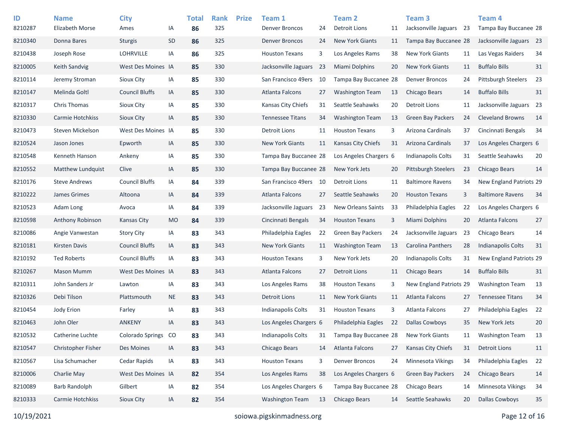| ID      | <b>Name</b>            | <b>City</b>           |           | <b>Total</b> | <b>Rank</b> | <b>Prize</b> | Team 1                    |    | Team <sub>2</sub>         |    | <b>Team 3</b>              |    | Team <sub>4</sub>              |    |
|---------|------------------------|-----------------------|-----------|--------------|-------------|--------------|---------------------------|----|---------------------------|----|----------------------------|----|--------------------------------|----|
| 8210287 | <b>Elizabeth Morse</b> | Ames                  | IA        | 86           | 325         |              | <b>Denver Broncos</b>     | 24 | Detroit Lions             | 11 | Jacksonville Jaguars       | 23 | Tampa Bay Buccanee 28          |    |
| 8210340 | Donna Bares            | <b>Sturgis</b>        | SD        | 86           | 325         |              | <b>Denver Broncos</b>     | 24 | <b>New York Giants</b>    | 11 | Tampa Bay Buccanee 28      |    | Jacksonville Jaguars 23        |    |
| 8210438 | Joseph Rose            | <b>LOHRVILLE</b>      | ΙA        | 86           | 325         |              | <b>Houston Texans</b>     | 3  | Los Angeles Rams          | 38 | <b>New York Giants</b>     | 11 | Las Vegas Raiders              | 34 |
| 8210005 | <b>Keith Sandvig</b>   | West Des Moines IA    |           | 85           | 330         |              | Jacksonville Jaguars      | 23 | <b>Miami Dolphins</b>     | 20 | <b>New York Giants</b>     | 11 | <b>Buffalo Bills</b>           | 31 |
| 8210114 | Jeremy Stroman         | Sioux City            | ΙA        | 85           | 330         |              | San Francisco 49ers       | 10 | Tampa Bay Buccanee 28     |    | <b>Denver Broncos</b>      | 24 | <b>Pittsburgh Steelers</b>     | 23 |
| 8210147 | Melinda Goltl          | <b>Council Bluffs</b> | IA        | 85           | 330         |              | Atlanta Falcons           | 27 | <b>Washington Team</b>    | 13 | Chicago Bears              | 14 | <b>Buffalo Bills</b>           | 31 |
| 8210317 | Chris Thomas           | Sioux City            | ΙA        | 85           | 330         |              | Kansas City Chiefs        | 31 | Seattle Seahawks          | 20 | <b>Detroit Lions</b>       | 11 | Jacksonville Jaguars 23        |    |
| 8210330 | Carmie Hotchkiss       | <b>Sioux City</b>     | IA        | 85           | 330         |              | <b>Tennessee Titans</b>   | 34 | <b>Washington Team</b>    | 13 | <b>Green Bay Packers</b>   | 24 | <b>Cleveland Browns</b>        | 14 |
| 8210473 | Steven Mickelson       | West Des Moines IA    |           | 85           | 330         |              | <b>Detroit Lions</b>      | 11 | <b>Houston Texans</b>     | 3  | Arizona Cardinals          | 37 | Cincinnati Bengals             | 34 |
| 8210524 | Jason Jones            | Epworth               | IA        | 85           | 330         |              | <b>New York Giants</b>    | 11 | Kansas City Chiefs        | 31 | Arizona Cardinals          | 37 | Los Angeles Chargers 6         |    |
| 8210548 | Kenneth Hanson         | Ankeny                | IA        | 85           | 330         |              | Tampa Bay Buccanee 28     |    | Los Angeles Chargers 6    |    | <b>Indianapolis Colts</b>  | 31 | Seattle Seahawks               | 20 |
| 8210552 | Matthew Lundquist      | Clive                 | IA        | 85           | 330         |              | Tampa Bay Buccanee 28     |    | New York Jets             | 20 | <b>Pittsburgh Steelers</b> | 23 | <b>Chicago Bears</b>           | 14 |
| 8210176 | <b>Steve Andrews</b>   | <b>Council Bluffs</b> | ΙA        | 84           | 339         |              | San Francisco 49ers       | 10 | Detroit Lions             | 11 | <b>Baltimore Ravens</b>    | 34 | <b>New England Patriots 29</b> |    |
| 8210222 | James Grimes           | Altoona               | IA        | 84           | 339         |              | Atlanta Falcons           | 27 | Seattle Seahawks          | 20 | <b>Houston Texans</b>      | 3  | <b>Baltimore Ravens</b>        | 34 |
| 8210523 | Adam Long              | Avoca                 | IA        | 84           | 339         |              | Jacksonville Jaguars      | 23 | <b>New Orleans Saints</b> | 33 | Philadelphia Eagles        | 22 | Los Angeles Chargers 6         |    |
| 8210598 | Anthony Robinson       | Kansas City           | <b>MO</b> | 84           | 339         |              | Cincinnati Bengals        | 34 | <b>Houston Texans</b>     | 3  | <b>Miami Dolphins</b>      | 20 | Atlanta Falcons                | 27 |
| 8210086 | Angie Vanwestan        | <b>Story City</b>     | IA        | 83           | 343         |              | Philadelphia Eagles       | 22 | <b>Green Bay Packers</b>  | 24 | Jacksonville Jaguars       | 23 | Chicago Bears                  | 14 |
| 8210181 | <b>Kirsten Davis</b>   | <b>Council Bluffs</b> | IA        | 83           | 343         |              | <b>New York Giants</b>    | 11 | <b>Washington Team</b>    | 13 | Carolina Panthers          | 28 | Indianapolis Colts             | 31 |
| 8210192 | <b>Ted Roberts</b>     | <b>Council Bluffs</b> | IA        | 83           | 343         |              | <b>Houston Texans</b>     | 3  | New York Jets             | 20 | Indianapolis Colts         | 31 | New England Patriots 29        |    |
| 8210267 | <b>Mason Mumm</b>      | West Des Moines IA    |           | 83           | 343         |              | Atlanta Falcons           | 27 | Detroit Lions             | 11 | Chicago Bears              | 14 | <b>Buffalo Bills</b>           | 31 |
| 8210311 | John Sanders Jr        | Lawton                | ΙA        | 83           | 343         |              | Los Angeles Rams          | 38 | <b>Houston Texans</b>     | 3  | New England Patriots 29    |    | <b>Washington Team</b>         | 13 |
| 8210326 | Debi Tilson            | Plattsmouth           | <b>NE</b> | 83           | 343         |              | <b>Detroit Lions</b>      | 11 | <b>New York Giants</b>    | 11 | <b>Atlanta Falcons</b>     | 27 | <b>Tennessee Titans</b>        | 34 |
| 8210454 | Jody Erion             | Farley                | ΙA        | 83           | 343         |              | <b>Indianapolis Colts</b> | 31 | <b>Houston Texans</b>     | 3  | Atlanta Falcons            | 27 | Philadelphia Eagles            | 22 |
| 8210463 | John Oler              | <b>ANKENY</b>         | IA        | 83           | 343         |              | Los Angeles Chargers 6    |    | Philadelphia Eagles       | 22 | <b>Dallas Cowboys</b>      | 35 | New York Jets                  | 20 |
| 8210532 | Catherine Luchte       | Colorado Springs CO   |           | 83           | 343         |              | Indianapolis Colts        | 31 | Tampa Bay Buccanee 28     |    | <b>New York Giants</b>     | 11 | <b>Washington Team</b>         | 13 |
| 8210547 | Christopher Fisher     | Des Moines            | IA        | 83           | 343         |              | Chicago Bears             | 14 | Atlanta Falcons           | 27 | Kansas City Chiefs         | 31 | <b>Detroit Lions</b>           | 11 |
| 8210567 | Lisa Schumacher        | Cedar Rapids          | IA        | 83           | 343         |              | <b>Houston Texans</b>     | 3  | <b>Denver Broncos</b>     | 24 | Minnesota Vikings          | 34 | Philadelphia Eagles            | 22 |
| 8210006 | Charlie May            | West Des Moines IA    |           | 82           | 354         |              | Los Angeles Rams          | 38 | Los Angeles Chargers 6    |    | <b>Green Bay Packers</b>   | 24 | <b>Chicago Bears</b>           | 14 |
| 8210089 | <b>Barb Randolph</b>   | Gilbert               | IA        | 82           | 354         |              | Los Angeles Chargers 6    |    | Tampa Bay Buccanee 28     |    | Chicago Bears              | 14 | Minnesota Vikings              | 34 |
| 8210333 | Carmie Hotchkiss       | Sioux City            | IA        | 82           | 354         |              | <b>Washington Team</b>    | 13 | Chicago Bears             | 14 | Seattle Seahawks           | 20 | <b>Dallas Cowboys</b>          | 35 |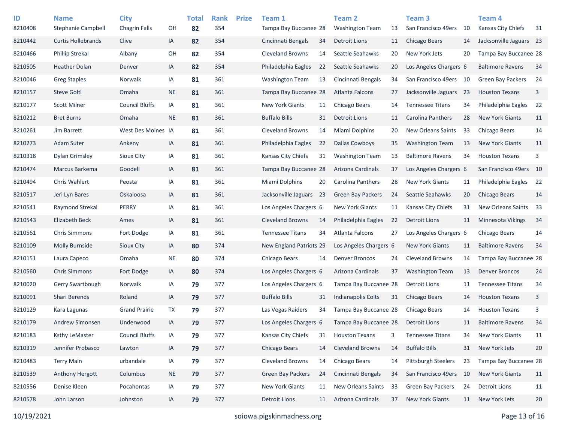| ID      | <b>Name</b>               | <b>City</b>           |           | <b>Total</b> | <b>Rank</b> | <b>Prize</b> | Team 1                  |    | <b>Team 2</b>             |    | Team <sub>3</sub>         |     | <b>Team 4</b>            |      |
|---------|---------------------------|-----------------------|-----------|--------------|-------------|--------------|-------------------------|----|---------------------------|----|---------------------------|-----|--------------------------|------|
| 8210408 | <b>Stephanie Campbell</b> | <b>Chagrin Falls</b>  | OH        | 82           | 354         |              | Tampa Bay Buccanee 28   |    | <b>Washington Team</b>    | 13 | San Francisco 49ers       | 10  | Kansas City Chiefs       | 31   |
| 8210442 | <b>Curtis Hollebrands</b> | Clive                 | IA        | 82           | 354         |              | Cincinnati Bengals      | 34 | Detroit Lions             | 11 | Chicago Bears             | 14  | Jacksonville Jaguars 23  |      |
| 8210466 | <b>Phillip Strekal</b>    | Albany                | OH        | 82           | 354         |              | <b>Cleveland Browns</b> | 14 | Seattle Seahawks          | 20 | New York Jets             | 20  | Tampa Bay Buccanee 28    |      |
| 8210505 | <b>Heather Dolan</b>      | Denver                | IA        | 82           | 354         |              | Philadelphia Eagles     | 22 | Seattle Seahawks          | 20 | Los Angeles Chargers 6    |     | <b>Baltimore Ravens</b>  | 34   |
| 8210046 | <b>Greg Staples</b>       | Norwalk               | IA        | 81           | 361         |              | <b>Washington Team</b>  | 13 | Cincinnati Bengals        | 34 | San Francisco 49ers       | 10  | <b>Green Bay Packers</b> | 24   |
| 8210157 | <b>Steve Goltl</b>        | Omaha                 | <b>NE</b> | 81           | 361         |              | Tampa Bay Buccanee 28   |    | <b>Atlanta Falcons</b>    | 27 | Jacksonville Jaguars      | -23 | <b>Houston Texans</b>    | 3    |
| 8210177 | <b>Scott Milner</b>       | <b>Council Bluffs</b> | IA        | 81           | 361         |              | <b>New York Giants</b>  | 11 | Chicago Bears             | 14 | <b>Tennessee Titans</b>   | 34  | Philadelphia Eagles      | 22   |
| 8210212 | <b>Bret Burns</b>         | Omaha                 | <b>NE</b> | 81           | 361         |              | <b>Buffalo Bills</b>    | 31 | Detroit Lions             | 11 | <b>Carolina Panthers</b>  | 28  | <b>New York Giants</b>   | 11   |
| 8210261 | Jim Barrett               | West Des Moines IA    |           | 81           | 361         |              | <b>Cleveland Browns</b> | 14 | Miami Dolphins            | 20 | <b>New Orleans Saints</b> | 33  | Chicago Bears            | 14   |
| 8210273 | <b>Adam Suter</b>         | Ankeny                | IA        | 81           | 361         |              | Philadelphia Eagles     | 22 | <b>Dallas Cowboys</b>     | 35 | <b>Washington Team</b>    | 13  | <b>New York Giants</b>   | 11   |
| 8210318 | <b>Dylan Grimsley</b>     | <b>Sioux Clty</b>     | IA        | 81           | 361         |              | Kansas City Chiefs      | 31 | <b>Washington Team</b>    | 13 | <b>Baltimore Ravens</b>   | 34  | <b>Houston Texans</b>    | 3    |
| 8210474 | Marcus Barkema            | Goodell               | IA        | 81           | 361         |              | Tampa Bay Buccanee 28   |    | Arizona Cardinals         | 37 | Los Angeles Chargers 6    |     | San Francisco 49ers 10   |      |
| 8210494 | Chris Wahlert             | Peosta                | IA        | 81           | 361         |              | Miami Dolphins          | 20 | Carolina Panthers         | 28 | <b>New York Giants</b>    | 11  | Philadelphia Eagles      | 22   |
| 8210517 | Jeri Lyn Bares            | Oskaloosa             | IA        | 81           | 361         |              | Jacksonville Jaguars 23 |    | Green Bay Packers         | 24 | Seattle Seahawks          | 20  | Chicago Bears            | 14   |
| 8210541 | Raymond Strekal           | PERRY                 | IA        | 81           | 361         |              | Los Angeles Chargers 6  |    | <b>New York Giants</b>    | 11 | Kansas City Chiefs        | 31  | New Orleans Saints       | - 33 |
| 8210543 | Elizabeth Beck            | Ames                  | IA        | 81           | 361         |              | <b>Cleveland Browns</b> | 14 | Philadelphia Eagles       | 22 | <b>Detroit Lions</b>      | 11  | <b>Minnesota Vikings</b> | 34   |
| 8210561 | <b>Chris Simmons</b>      | Fort Dodge            | IA        | 81           | 361         |              | <b>Tennessee Titans</b> | 34 | Atlanta Falcons           | 27 | Los Angeles Chargers 6    |     | Chicago Bears            | 14   |
| 8210109 | Molly Burnside            | Sioux City            | IA        | 80           | 374         |              | New England Patriots 29 |    | Los Angeles Chargers 6    |    | <b>New York Giants</b>    | 11  | <b>Baltimore Ravens</b>  | 34   |
| 8210151 | Laura Capeco              | Omaha                 | <b>NE</b> | 80           | 374         |              | Chicago Bears           | 14 | <b>Denver Broncos</b>     | 24 | <b>Cleveland Browns</b>   | 14  | Tampa Bay Buccanee 28    |      |
| 8210560 | <b>Chris Simmons</b>      | Fort Dodge            | IA        | 80           | 374         |              | Los Angeles Chargers 6  |    | Arizona Cardinals         | 37 | <b>Washington Team</b>    | 13  | <b>Denver Broncos</b>    | 24   |
| 8210020 | Gerry Swartbough          | Norwalk               | IA        | 79           | 377         |              | Los Angeles Chargers 6  |    | Tampa Bay Buccanee 28     |    | Detroit Lions             | 11  | <b>Tennessee Titans</b>  | 34   |
| 8210091 | Shari Berends             | Roland                | IA        | 79           | 377         |              | <b>Buffalo Bills</b>    | 31 | <b>Indianapolis Colts</b> | 31 | Chicago Bears             | 14  | <b>Houston Texans</b>    | 3    |
| 8210129 | Kara Lagunas              | <b>Grand Prairie</b>  | TX        | 79           | 377         |              | Las Vegas Raiders       | 34 | Tampa Bay Buccanee 28     |    | Chicago Bears             | 14  | <b>Houston Texans</b>    | 3    |
| 8210179 | Andrew Simonsen           | Underwood             | IA        | 79           | 377         |              | Los Angeles Chargers 6  |    | Tampa Bay Buccanee 28     |    | <b>Detroit Lions</b>      | 11  | <b>Baltimore Ravens</b>  | 34   |
| 8210183 | Ksthy LeMaster            | <b>Council Bluffs</b> | IA        | 79           | 377         |              | Kansas City Chiefs      | 31 | <b>Houston Texans</b>     | 3  | <b>Tennessee Titans</b>   | 34  | <b>New York Giants</b>   | 11   |
| 8210319 | Jennifer Probasco         | Lawton                | IA        | 79           | 377         |              | Chicago Bears           | 14 | <b>Cleveland Browns</b>   | 14 | <b>Buffalo Bills</b>      | 31  | New York Jets            | 20   |
| 8210483 | <b>Terry Main</b>         | urbandale             | IA        | 79           | 377         |              | Cleveland Browns        | 14 | Chicago Bears             | 14 | Pittsburgh Steelers       | 23  | Tampa Bay Buccanee 28    |      |
| 8210539 | Anthony Hergott           | Columbus              | <b>NE</b> | 79           | 377         |              | Green Bay Packers       | 24 | Cincinnati Bengals        | 34 | San Francisco 49ers       | 10  | New York Giants          | 11   |
| 8210556 | Denise Kleen              | Pocahontas            | IA        | 79           | 377         |              | New York Giants         | 11 | New Orleans Saints        | 33 | Green Bay Packers         | 24  | <b>Detroit Lions</b>     | 11   |
| 8210578 | John Larson               | Johnston              | IA        | 79           | 377         |              | <b>Detroit Lions</b>    | 11 | Arizona Cardinals         | 37 | New York Giants           | 11  | New York Jets            | 20   |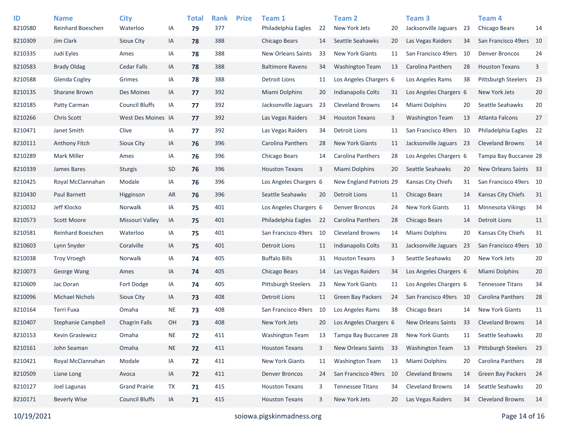| ID<br>8210580 | <b>Name</b><br><b>Reinhard Boeschen</b> | <b>City</b><br>Waterloo | IA        | <b>Total</b><br>79 | <b>Rank</b><br>377 | <b>Prize</b> | Team 1<br>Philadelphia Eagles | 22 | <b>Team 2</b><br>New York Jets | 20 | Team <sub>3</sub><br>Jacksonville Jaguars | 23 | Team <sub>4</sub><br>Chicago Bears | 14 |
|---------------|-----------------------------------------|-------------------------|-----------|--------------------|--------------------|--------------|-------------------------------|----|--------------------------------|----|-------------------------------------------|----|------------------------------------|----|
| 8210309       | Jim Clark                               | Sioux City              | IA        | 78                 | 388                |              | Chicago Bears                 | 14 | Seattle Seahawks               | 20 | Las Vegas Raiders                         | 34 | San Francisco 49ers                | 10 |
| 8210335       | Judi Eyles                              | Ames                    | IA        | 78                 | 388                |              | <b>New Orleans Saints</b>     | 33 | <b>New York Giants</b>         | 11 | San Francisco 49ers                       | 10 | <b>Denver Broncos</b>              | 24 |
| 8210583       | <b>Brady Oldag</b>                      | <b>Cedar Falls</b>      | IA        | 78                 | 388                |              | <b>Baltimore Ravens</b>       | 34 | <b>Washington Team</b>         | 13 | <b>Carolina Panthers</b>                  | 28 | <b>Houston Texans</b>              | 3  |
| 8210588       | Glenda Cogley                           | Grimes                  | IA        | 78                 | 388                |              | <b>Detroit Lions</b>          | 11 | Los Angeles Chargers 6         |    | Los Angeles Rams                          | 38 | <b>Pittsburgh Steelers</b>         | 23 |
| 8210135       | Sharane Brown                           | Des Moines              | IA        | 77                 | 392                |              | <b>Miami Dolphins</b>         | 20 | <b>Indianapolis Colts</b>      | 31 | Los Angeles Chargers 6                    |    | New York Jets                      | 20 |
| 8210185       | Patty Carman                            | <b>Council Bluffs</b>   | IA        | 77                 | 392                |              | Jacksonville Jaguars          | 23 | <b>Cleveland Browns</b>        | 14 | Miami Dolphins                            | 20 | Seattle Seahawks                   | 20 |
| 8210266       | <b>Chris Scott</b>                      | West Des Moines IA      |           | 77                 | 392                |              | Las Vegas Raiders             | 34 | <b>Houston Texans</b>          | 3  | <b>Washington Team</b>                    | 13 | <b>Atlanta Falcons</b>             | 27 |
| 8210471       | Janet Smith                             | Clive                   | IA        | 77                 | 392                |              | Las Vegas Raiders             | 34 | Detroit Lions                  | 11 | San Francisco 49ers 10                    |    | Philadelphia Eagles                | 22 |
| 8210111       | Anthony Fitch                           | Sioux City              | IA        | 76                 | 396                |              | Carolina Panthers             | 28 | <b>New York Giants</b>         | 11 | Jacksonville Jaguars 23                   |    | <b>Cleveland Browns</b>            | 14 |
| 8210289       | <b>Mark Miller</b>                      | Ames                    | IA        | 76                 | 396                |              | Chicago Bears                 | 14 | Carolina Panthers              | 28 | Los Angeles Chargers 6                    |    | Tampa Bay Buccanee 28              |    |
| 8210339       | James Bares                             | <b>Sturgis</b>          | SD        | 76                 | 396                |              | <b>Houston Texans</b>         | 3  | Miami Dolphins                 | 20 | Seattle Seahawks                          | 20 | New Orleans Saints 33              |    |
| 8210425       | Royal McClannahan                       | Modale                  | IA        | 76                 | 396                |              | Los Angeles Chargers 6        |    | New England Patriots 29        |    | Kansas City Chiefs                        | 31 | San Francisco 49ers 10             |    |
| 8210430       | Paul Barnett                            | Higginson               | AR        | 76                 | 396                |              | Seattle Seahawks              | 20 | Detroit Lions                  | 11 | Chicago Bears                             | 14 | <b>Kansas City Chiefs</b>          | 31 |
| 8210032       | Jeff Klocko                             | Norwalk                 | IA        | 75                 | 401                |              | Los Angeles Chargers 6        |    | <b>Denver Broncos</b>          | 24 | <b>New York Giants</b>                    | 11 | <b>Minnesota Vikings</b>           | 34 |
| 8210573       | <b>Scott Moore</b>                      | Missouri Valley         | IA        | 75                 | 401                |              | Philadelphia Eagles           | 22 | Carolina Panthers              | 28 | Chicago Bears                             | 14 | <b>Detroit Lions</b>               | 11 |
| 8210581       | Reinhard Boeschen                       | Waterloo                | IA        | 75                 | 401                |              | San Francisco 49ers           | 10 | <b>Cleveland Browns</b>        | 14 | Miami Dolphins                            | 20 | Kansas City Chiefs                 | 31 |
| 8210603       | Lynn Snyder                             | Coralville              | IA        | 75                 | 401                |              | <b>Detroit Lions</b>          | 11 | <b>Indianapolis Colts</b>      | 31 | Jacksonville Jaguars                      | 23 | San Francisco 49ers                | 10 |
| 8210038       | <b>Troy Vroegh</b>                      | Norwalk                 | IA        | 74                 | 405                |              | <b>Buffalo Bills</b>          | 31 | <b>Houston Texans</b>          | 3  | Seattle Seahawks                          | 20 | New York Jets                      | 20 |
| 8210073       | George Wang                             | Ames                    | IA        | 74                 | 405                |              | Chicago Bears                 | 14 | Las Vegas Raiders              | 34 | Los Angeles Chargers 6                    |    | Miami Dolphins                     | 20 |
| 8210609       | Jac Doran                               | Fort Dodge              | IA        | 74                 | 405                |              | <b>Pittsburgh Steelers</b>    | 23 | <b>New York Giants</b>         | 11 | Los Angeles Chargers 6                    |    | <b>Tennessee Titans</b>            | 34 |
| 8210096       | <b>Michael Nichols</b>                  | <b>Sioux City</b>       | IA        | 73                 | 408                |              | <b>Detroit Lions</b>          | 11 | <b>Green Bay Packers</b>       | 24 | San Francisco 49ers 10                    |    | <b>Carolina Panthers</b>           | 28 |
| 8210164       | Terri Fuxa                              | Omaha                   | <b>NE</b> | 73                 | 408                |              | San Francisco 49ers           | 10 | Los Angeles Rams               | 38 | Chicago Bears                             | 14 | <b>New York Giants</b>             | 11 |
| 8210407       | Stephanie Campbell                      | <b>Chagrin Falls</b>    | <b>OH</b> | 73                 | 408                |              | New York Jets                 | 20 | Los Angeles Chargers 6         |    | New Orleans Saints                        | 33 | <b>Cleveland Browns</b>            | 14 |
| 8210153       | Kevin Graslewicz                        | Omaha                   | <b>NE</b> | 72                 | 411                |              | <b>Washington Team</b>        | 13 | Tampa Bay Buccanee 28          |    | <b>New York Giants</b>                    | 11 | Seattle Seahawks                   | 20 |
| 8210161       | John Seaman                             | Omaha                   | <b>NE</b> | 72                 | 411                |              | <b>Houston Texans</b>         | 3  | New Orleans Saints 33          |    | <b>Washington Team</b>                    | 13 | Pittsburgh Steelers                | 23 |
| 8210421       | Royal McClannahan                       | Modale                  | IA        | 72                 | 411                |              | <b>New York Giants</b>        | 11 | <b>Washington Team</b>         | 13 | Miami Dolphins                            | 20 | Carolina Panthers                  | 28 |
| 8210509       | Liane Long                              | Avoca                   | IA        | 72                 | 411                |              | <b>Denver Broncos</b>         | 24 | San Francisco 49ers            | 10 | <b>Cleveland Browns</b>                   | 14 | Green Bay Packers                  | 24 |
| 8210127       | Joel Lagunas                            | <b>Grand Prairie</b>    | TX        | 71                 | 415                |              | <b>Houston Texans</b>         | 3  | <b>Tennessee Titans</b>        | 34 | <b>Cleveland Browns</b>                   | 14 | Seattle Seahawks                   | 20 |
| 8210171       | <b>Beverly Wise</b>                     | <b>Council Bluffs</b>   | IA        | 71                 | 415                |              | <b>Houston Texans</b>         | 3  | New York Jets                  | 20 | Las Vegas Raiders                         | 34 | <b>Cleveland Browns</b>            | 14 |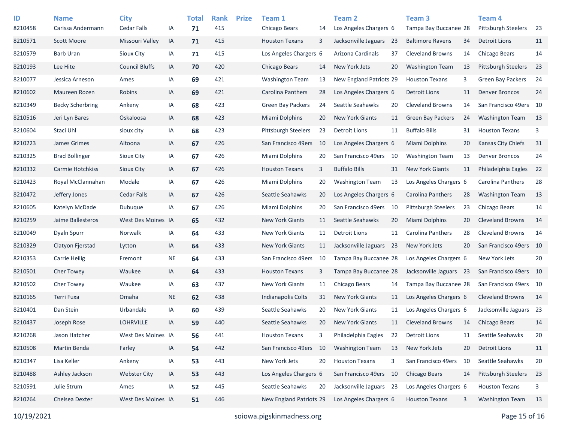| ID<br>8210458 | <b>Name</b><br>Carissa Andermann | <b>City</b><br>Cedar Falls | IA        | <b>Total</b><br>71 | <b>Rank</b><br>415 | <b>Prize</b> | Team 1<br>Chicago Bears   | 14 | Team <sub>2</sub><br>Los Angeles Chargers 6 |      | Team <sub>3</sub><br>Tampa Bay Buccanee 28 |    | Team <sub>4</sub><br>Pittsburgh Steelers | -23 |
|---------------|----------------------------------|----------------------------|-----------|--------------------|--------------------|--------------|---------------------------|----|---------------------------------------------|------|--------------------------------------------|----|------------------------------------------|-----|
| 8210571       | <b>Scott Moore</b>               | Missouri Valley            | IA        | 71                 | 415                |              | <b>Houston Texans</b>     | 3  | Jacksonville Jaguars                        | - 23 | <b>Baltimore Ravens</b>                    | 34 | <b>Detroit Lions</b>                     | 11  |
|               |                                  | Sioux City                 |           |                    |                    |              |                           |    |                                             |      |                                            |    | <b>Chicago Bears</b>                     |     |
| 8210579       | <b>Barb Uran</b>                 |                            | IA        | 71                 | 415                |              | Los Angeles Chargers 6    |    | Arizona Cardinals                           | 37   | <b>Cleveland Browns</b>                    | 14 |                                          | 14  |
| 8210193       | Lee Hite                         | <b>Council Bluffs</b>      | IA        | 70                 | 420                |              | Chicago Bears             | 14 | New York Jets                               | 20   | <b>Washington Team</b>                     | 13 | Pittsburgh Steelers                      | 23  |
| 8210077       | Jessica Arneson                  | Ames                       | IA        | 69                 | 421                |              | <b>Washington Team</b>    | 13 | New England Patriots 29                     |      | <b>Houston Texans</b>                      | 3  | <b>Green Bay Packers</b>                 | 24  |
| 8210602       | Maureen Rozen                    | Robins                     | IA        | 69                 | 421                |              | Carolina Panthers         | 28 | Los Angeles Chargers 6                      |      | <b>Detroit Lions</b>                       | 11 | <b>Denver Broncos</b>                    | 24  |
| 8210349       | <b>Becky Scherbring</b>          | Ankeny                     | IA        | 68                 | 423                |              | <b>Green Bay Packers</b>  | 24 | Seattle Seahawks                            | 20   | <b>Cleveland Browns</b>                    | 14 | San Francisco 49ers                      | 10  |
| 8210516       | Jeri Lyn Bares                   | Oskaloosa                  | IA        | 68                 | 423                |              | <b>Miami Dolphins</b>     | 20 | <b>New York Giants</b>                      | 11   | <b>Green Bay Packers</b>                   | 24 | <b>Washington Team</b>                   | 13  |
| 8210604       | Staci Uhl                        | sioux city                 | IA        | 68                 | 423                |              | Pittsburgh Steelers       | 23 | <b>Detroit Lions</b>                        | 11   | <b>Buffalo Bills</b>                       | 31 | <b>Houston Texans</b>                    | 3   |
| 8210223       | James Grimes                     | Altoona                    | IA        | 67                 | 426                |              | San Francisco 49ers       | 10 | Los Angeles Chargers 6                      |      | <b>Miami Dolphins</b>                      | 20 | Kansas City Chiefs                       | 31  |
| 8210325       | <b>Brad Bollinger</b>            | Sioux City                 | IA        | 67                 | 426                |              | Miami Dolphins            | 20 | San Francisco 49ers                         | 10   | <b>Washington Team</b>                     | 13 | <b>Denver Broncos</b>                    | 24  |
| 8210332       | Carmie Hotchkiss                 | Sioux City                 | IA        | 67                 | 426                |              | <b>Houston Texans</b>     | 3  | <b>Buffalo Bills</b>                        | 31   | <b>New York Giants</b>                     | 11 | Philadelphia Eagles                      | 22  |
| 8210423       | Royal McClannahan                | Modale                     | IA        | 67                 | 426                |              | <b>Miami Dolphins</b>     | 20 | <b>Washington Team</b>                      | 13   | Los Angeles Chargers 6                     |    | Carolina Panthers                        | 28  |
| 8210472       | Jeffery Jones                    | <b>Cedar Falls</b>         | IA        | 67                 | 426                |              | Seattle Seahawks          | 20 | Los Angeles Chargers 6                      |      | Carolina Panthers                          | 28 | <b>Washington Team</b>                   | 13  |
| 8210605       | Katelyn McDade                   | Dubuque                    | IA        | 67                 | 426                |              | <b>Miami Dolphins</b>     | 20 | San Francisco 49ers                         | - 10 | <b>Pittsburgh Steelers</b>                 | 23 | Chicago Bears                            | 14  |
| 8210259       | Jaime Ballesteros                | West Des Moines IA         |           | 65                 | 432                |              | <b>New York Giants</b>    | 11 | Seattle Seahawks                            | 20   | <b>Miami Dolphins</b>                      | 20 | <b>Cleveland Browns</b>                  | 14  |
| 8210049       | <b>Dyaln Spurr</b>               | Norwalk                    | IA        | 64                 | 433                |              | <b>New York Giants</b>    | 11 | <b>Detroit Lions</b>                        | 11   | <b>Carolina Panthers</b>                   | 28 | <b>Cleveland Browns</b>                  | 14  |
| 8210329       | Clatyon Fjerstad                 | Lytton                     | IA        | 64                 | 433                |              | <b>New York Giants</b>    | 11 | Jacksonville Jaguars 23                     |      | New York Jets                              | 20 | San Francisco 49ers                      | 10  |
| 8210353       | <b>Carrie Heilig</b>             | Fremont                    | <b>NE</b> | 64                 | 433                |              | San Francisco 49ers       | 10 | Tampa Bay Buccanee 28                       |      | Los Angeles Chargers 6                     |    | New York Jets                            | 20  |
| 8210501       | <b>Cher Towey</b>                | Waukee                     | IA        | 64                 | 433                |              | <b>Houston Texans</b>     | 3  | Tampa Bay Buccanee 28                       |      | Jacksonville Jaguars 23                    |    | San Francisco 49ers 10                   |     |
| 8210502       | <b>Cher Towey</b>                | Waukee                     | IA        | 63                 | 437                |              | <b>New York Giants</b>    | 11 | Chicago Bears                               | 14   | Tampa Bay Buccanee 28                      |    | San Francisco 49ers 10                   |     |
| 8210165       | Terri Fuxa                       | Omaha                      | <b>NE</b> | 62                 | 438                |              | <b>Indianapolis Colts</b> | 31 | <b>New York Giants</b>                      | 11   | Los Angeles Chargers 6                     |    | <b>Cleveland Browns</b>                  | 14  |
| 8210401       | Dan Stein                        | Urbandale                  | IA        | 60                 | 439                |              | Seattle Seahawks          | 20 | <b>New York Giants</b>                      | 11   | Los Angeles Chargers 6                     |    | Jacksonville Jaguars 23                  |     |
| 8210437       | Joseph Rose                      | <b>LOHRVILLE</b>           | IA        | 59                 | 440                |              | Seattle Seahawks          | 20 | <b>New York Giants</b>                      | 11   | <b>Cleveland Browns</b>                    | 14 | <b>Chicago Bears</b>                     | 14  |
| 8210268       | Jason Hatcher                    | West Des Moines IA         |           | 56                 | 441                |              | <b>Houston Texans</b>     | 3  | Philadelphia Eagles                         | 22   | <b>Detroit Lions</b>                       | 11 | Seattle Seahawks                         | 20  |
| 8210508       | Martin Benda                     | Farley                     | IA        | 54                 | 442                |              | San Francisco 49ers       | 10 | <b>Washington Team</b>                      | 13   | New York Jets                              | 20 | <b>Detroit Lions</b>                     | 11  |
| 8210347       | Lisa Keller                      | Ankeny                     | IA        | 53                 | 443                |              | New York Jets             | 20 | <b>Houston Texans</b>                       | 3    | San Francisco 49ers 10                     |    | Seattle Seahawks                         | 20  |
| 8210488       | Ashley Jackson                   | <b>Webster City</b>        | IA        | 53                 | 443                |              | Los Angeles Chargers 6    |    | San Francisco 49ers 10                      |      | Chicago Bears                              | 14 | Pittsburgh Steelers                      | 23  |
| 8210591       | Julie Strum                      | Ames                       | IA        | 52                 | 445                |              | Seattle Seahawks          | 20 | Jacksonville Jaguars 23                     |      | Los Angeles Chargers 6                     |    | <b>Houston Texans</b>                    | 3   |
| 8210264       | Chelsea Dexter                   | West Des Moines IA         |           | 51                 | 446                |              | New England Patriots 29   |    | Los Angeles Chargers 6                      |      | <b>Houston Texans</b>                      | 3  | <b>Washington Team</b>                   | 13  |